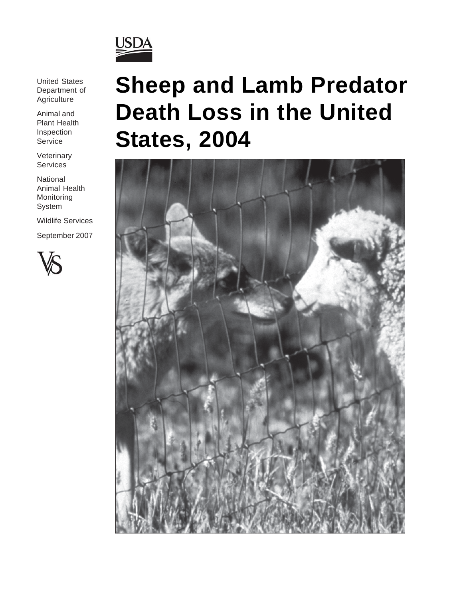

United States Department of **Agriculture** 

Animal and Plant Health Inspection Service

**Veterinary** Services

National Animal Health Monitoring System

Wildlife Services

September 2007



# **Sheep and Lamb Predator Death Loss in the United States, 2004**

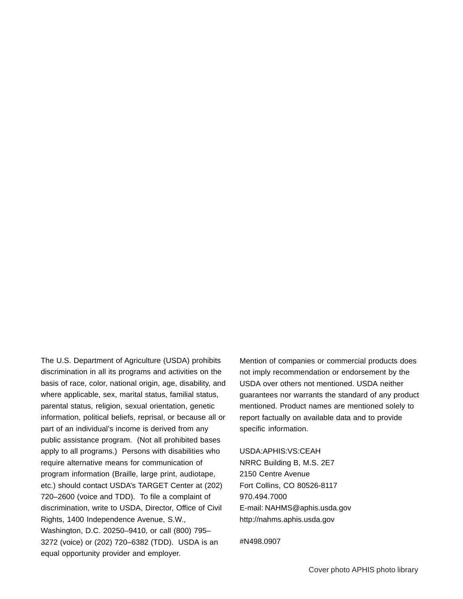The U.S. Department of Agriculture (USDA) prohibits discrimination in all its programs and activities on the basis of race, color, national origin, age, disability, and where applicable, sex, marital status, familial status, parental status, religion, sexual orientation, genetic information, political beliefs, reprisal, or because all or part of an individual's income is derived from any public assistance program. (Not all prohibited bases apply to all programs.) Persons with disabilities who require alternative means for communication of program information (Braille, large print, audiotape, etc.) should contact USDA's TARGET Center at (202) 720–2600 (voice and TDD). To file a complaint of discrimination, write to USDA, Director, Office of Civil Rights, 1400 Independence Avenue, S.W., Washington, D.C. 20250–9410, or call (800) 795– 3272 (voice) or (202) 720–6382 (TDD). USDA is an equal opportunity provider and employer.

Mention of companies or commercial products does not imply recommendation or endorsement by the USDA over others not mentioned. USDA neither guarantees nor warrants the standard of any product mentioned. Product names are mentioned solely to report factually on available data and to provide specific information.

USDA:APHIS:VS:CEAH NRRC Building B, M.S. 2E7 2150 Centre Avenue Fort Collins, CO 80526-8117 970.494.7000 E-mail: NAHMS@aphis.usda.gov http://nahms.aphis.usda.gov

#N498.0907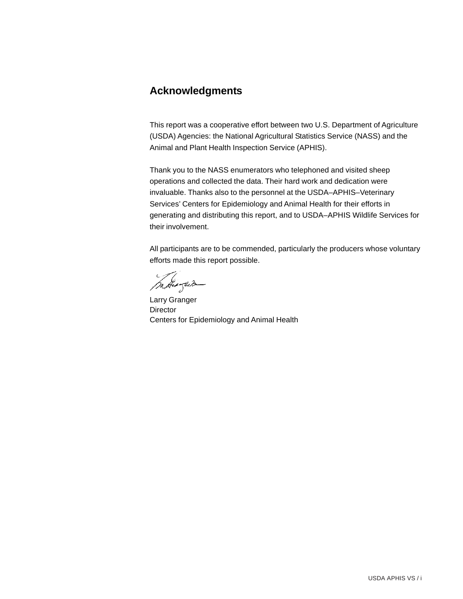# **Acknowledgments**

This report was a cooperative effort between two U.S. Department of Agriculture (USDA) Agencies: the National Agricultural Statistics Service (NASS) and the Animal and Plant Health Inspection Service (APHIS).

Thank you to the NASS enumerators who telephoned and visited sheep operations and collected the data. Their hard work and dedication were invaluable. Thanks also to the personnel at the USDA–APHIS–Veterinary Services' Centers for Epidemiology and Animal Health for their efforts in generating and distributing this report, and to USDA–APHIS Wildlife Services for their involvement.

All participants are to be commended, particularly the producers whose voluntary efforts made this report possible.

margun

Larry Granger Director Centers for Epidemiology and Animal Health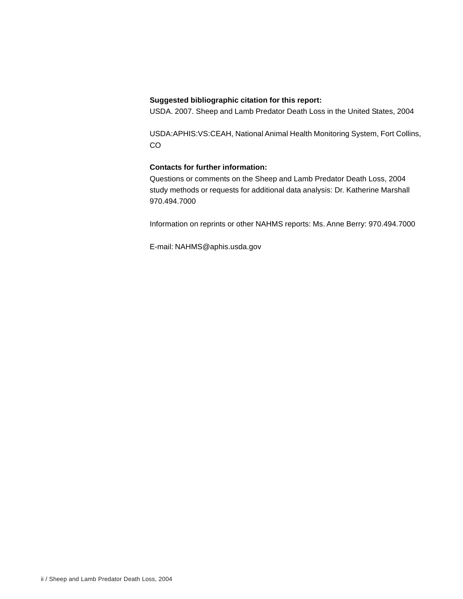#### **Suggested bibliographic citation for this report:**

USDA. 2007. Sheep and Lamb Predator Death Loss in the United States, 2004

USDA:APHIS:VS:CEAH, National Animal Health Monitoring System, Fort Collins, CO

#### **Contacts for further information:**

Questions or comments on the Sheep and Lamb Predator Death Loss, 2004 study methods or requests for additional data analysis: Dr. Katherine Marshall 970.494.7000

Information on reprints or other NAHMS reports: Ms. Anne Berry: 970.494.7000

E-mail: NAHMS@aphis.usda.gov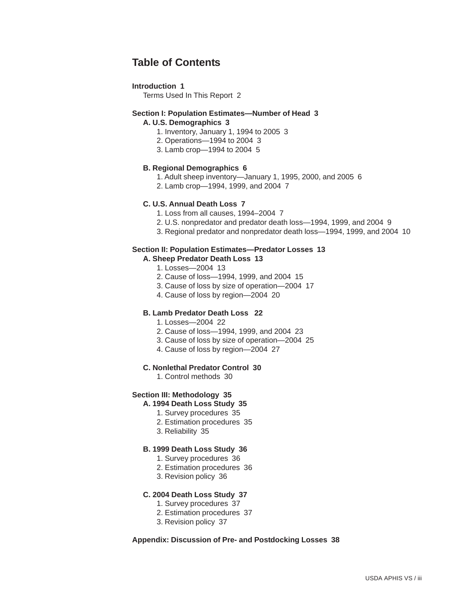# **Table of Contents**

#### **Introduction 1**

Terms Used In This Report 2

#### **Section I: Population Estimates—Number of Head 3**

**A. U.S. Demographics 3**

- 1. Inventory, January 1, 1994 to 2005 3
- 2. Operations—1994 to 2004 3
- 3. Lamb crop—1994 to 2004 5

#### **B. Regional Demographics 6**

- 1. Adult sheep inventory—January 1, 1995, 2000, and 2005 6
- 2. Lamb crop—1994, 1999, and 2004 7

#### **C. U.S. Annual Death Loss 7**

- 1. Loss from all causes, 1994–2004 7
- 2. U.S. nonpredator and predator death loss—1994, 1999, and 2004 9
- 3. Regional predator and nonpredator death loss—1994, 1999, and 2004 10

#### **Section II: Population Estimates—Predator Losses 13**

- **A. Sheep Predator Death Loss 13**
	- 1. Losses—2004 13
	- 2. Cause of loss—1994, 1999, and 2004 15
	- 3. Cause of loss by size of operation—2004 17
	- 4. Cause of loss by region—2004 20

#### **B. Lamb Predator Death Loss 22**

- 1. Losses—2004 22
- 2. Cause of loss—1994, 1999, and 2004 23
- 3. Cause of loss by size of operation—2004 25
- 4. Cause of loss by region—2004 27

#### **C. Nonlethal Predator Control 30**

1. Control methods 30

#### **Section III: Methodology 35**

#### **A. 1994 Death Loss Study 35**

- 1. Survey procedures 35
- 2. Estimation procedures 35
- 3. Reliability 35

#### **B. 1999 Death Loss Study 36**

- 1. Survey procedures 36
- 2. Estimation procedures 36
- 3. Revision policy 36

#### **C. 2004 Death Loss Study 37**

- 1. Survey procedures 37
- 2. Estimation procedures 37
- 3. Revision policy 37

#### **Appendix: Discussion of Pre- and Postdocking Losses 38**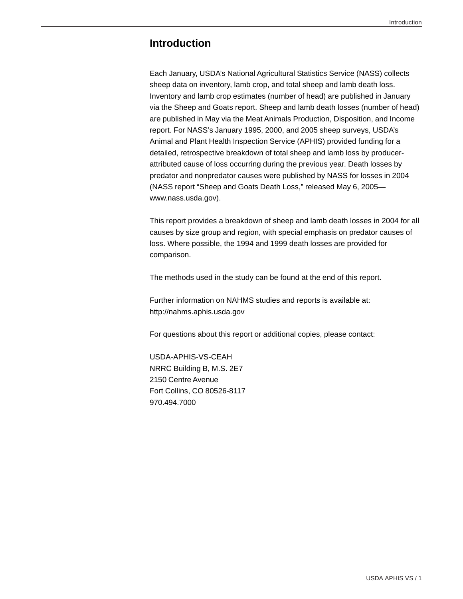# **Introduction**

Each January, USDA's National Agricultural Statistics Service (NASS) collects sheep data on inventory, lamb crop, and total sheep and lamb death loss. Inventory and lamb crop estimates (number of head) are published in January via the Sheep and Goats report. Sheep and lamb death losses (number of head) are published in May via the Meat Animals Production, Disposition, and Income report. For NASS's January 1995, 2000, and 2005 sheep surveys, USDA's Animal and Plant Health Inspection Service (APHIS) provided funding for a detailed, retrospective breakdown of total sheep and lamb loss by producerattributed cause of loss occurring during the previous year. Death losses by predator and nonpredator causes were published by NASS for losses in 2004 (NASS report "Sheep and Goats Death Loss," released May 6, 2005 www.nass.usda.gov).

This report provides a breakdown of sheep and lamb death losses in 2004 for all causes by size group and region, with special emphasis on predator causes of loss. Where possible, the 1994 and 1999 death losses are provided for comparison.

The methods used in the study can be found at the end of this report.

Further information on NAHMS studies and reports is available at: http://nahms.aphis.usda.gov

For questions about this report or additional copies, please contact:

USDA-APHIS-VS-CEAH NRRC Building B, M.S. 2E7 2150 Centre Avenue Fort Collins, CO 80526-8117 970.494.7000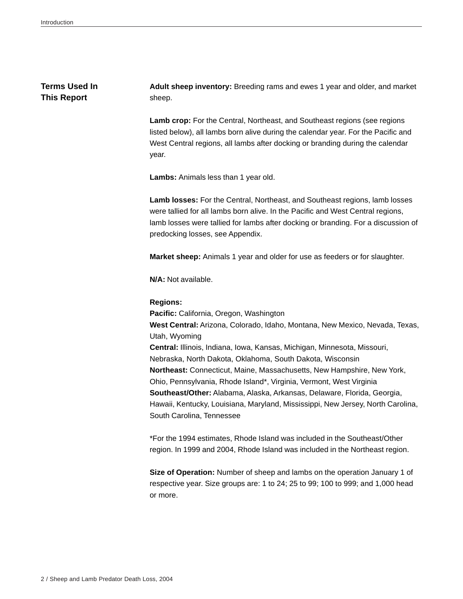## **Terms Used In This Report**

**Adult sheep inventory:** Breeding rams and ewes 1 year and older, and market sheep.

Lamb crop: For the Central, Northeast, and Southeast regions (see regions listed below), all lambs born alive during the calendar year. For the Pacific and West Central regions, all lambs after docking or branding during the calendar year.

**Lambs:** Animals less than 1 year old.

**Lamb losses:** For the Central, Northeast, and Southeast regions, lamb losses were tallied for all lambs born alive. In the Pacific and West Central regions, lamb losses were tallied for lambs after docking or branding. For a discussion of predocking losses, see Appendix.

**Market sheep:** Animals 1 year and older for use as feeders or for slaughter.

**N/A:** Not available.

#### **Regions:**

**Pacific:** California, Oregon, Washington **West Central:** Arizona, Colorado, Idaho, Montana, New Mexico, Nevada, Texas, Utah, Wyoming **Central:** Illinois, Indiana, Iowa, Kansas, Michigan, Minnesota, Missouri, Nebraska, North Dakota, Oklahoma, South Dakota, Wisconsin **Northeast:** Connecticut, Maine, Massachusetts, New Hampshire, New York, Ohio, Pennsylvania, Rhode Island\*, Virginia, Vermont, West Virginia **Southeast/Other:** Alabama, Alaska, Arkansas, Delaware, Florida, Georgia, Hawaii, Kentucky, Louisiana, Maryland, Mississippi, New Jersey, North Carolina, South Carolina, Tennessee

\*For the 1994 estimates, Rhode Island was included in the Southeast/Other region. In 1999 and 2004, Rhode Island was included in the Northeast region.

**Size of Operation:** Number of sheep and lambs on the operation January 1 of respective year. Size groups are: 1 to 24; 25 to 99; 100 to 999; and 1,000 head or more.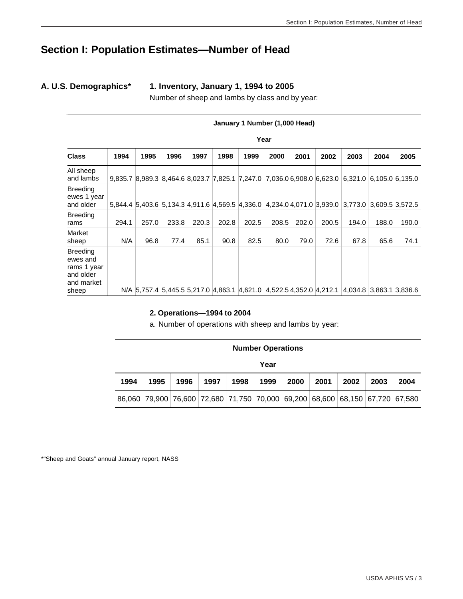# **Section I: Population Estimates—Number of Head**

**A. U.S. Demographics\* 1. Inventory, January 1, 1994 to 2005**

Number of sheep and lambs by class and by year:

|                                                                                | January 1 Number (1,000 Head) |       |       |       |       |                                                                     |       |       |       |                                                                                                 |                         |       |
|--------------------------------------------------------------------------------|-------------------------------|-------|-------|-------|-------|---------------------------------------------------------------------|-------|-------|-------|-------------------------------------------------------------------------------------------------|-------------------------|-------|
|                                                                                | Year                          |       |       |       |       |                                                                     |       |       |       |                                                                                                 |                         |       |
| <b>Class</b>                                                                   | 1994                          | 1995  | 1996  | 1997  | 1998  | 1999                                                                | 2000  | 2001  | 2002  | 2003                                                                                            | 2004                    | 2005  |
| All sheep<br>and lambs                                                         |                               |       |       |       |       |                                                                     |       |       |       | 9,835.7 8,989.3 8,464.6 8,023.7 7,825.1 7,247.0 7,036.0 6,908.0 6,623.0 6,321.0 6,105.0 6,135.0 |                         |       |
| <b>Breeding</b><br>ewes 1 year<br>and older                                    |                               |       |       |       |       |                                                                     |       |       |       | 5,844.4 5,403.6 5,134.3 4,911.6 4,569.5 4,336.0 4,234.0 4,071.0 3,939.0 3,773.0 3,609.5 3,572.5 |                         |       |
| <b>Breeding</b><br>rams                                                        | 294.1                         | 257.0 | 233.8 | 220.3 | 202.8 | 202.5                                                               | 208.5 | 202.0 | 200.5 | 194.0                                                                                           | 188.0                   | 190.0 |
| Market<br>sheep                                                                | N/A                           | 96.8  | 77.4  | 85.1  | 90.8  | 82.5                                                                | 80.0  | 79.0  | 72.6  | 67.8                                                                                            | 65.6                    | 74.1  |
| <b>Breeding</b><br>ewes and<br>rams 1 year<br>and older<br>and market<br>sheep |                               |       |       |       |       | N/A 5,757.4 5,445.5 5,217.0 4,863.1 4,621.0 4,522.5 4,352.0 4,212.1 |       |       |       |                                                                                                 | 4,034.8 3,863.1 3,836.6 |       |

#### **2. Operations—1994 to 2004**

a. Number of operations with sheep and lambs by year:

|                                                                              | <b>Number Operations</b> |  |                                                                              |  |  |  |  |  |  |      |  |
|------------------------------------------------------------------------------|--------------------------|--|------------------------------------------------------------------------------|--|--|--|--|--|--|------|--|
|                                                                              | Year                     |  |                                                                              |  |  |  |  |  |  |      |  |
| 1999<br>2001<br>1998<br>2000<br>2003<br>1994<br>1995<br>1996<br>1997<br>2002 |                          |  |                                                                              |  |  |  |  |  |  | 2004 |  |
|                                                                              |                          |  | 86,060 79,900 76,600 72,680 71,750 70,000 69,200 68,600 68,150 67,720 67,580 |  |  |  |  |  |  |      |  |

\*"Sheep and Goats" annual January report, NASS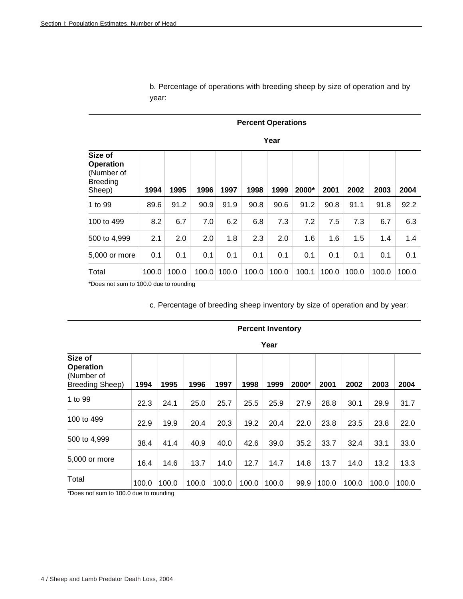|                                                                        | <b>Percent Operations</b> |       |       |       |       |       |       |       |       |       |       |  |  |
|------------------------------------------------------------------------|---------------------------|-------|-------|-------|-------|-------|-------|-------|-------|-------|-------|--|--|
|                                                                        | Year                      |       |       |       |       |       |       |       |       |       |       |  |  |
| Size of<br><b>Operation</b><br>(Number of<br><b>Breeding</b><br>Sheep) | 1994                      | 1995  | 1996  | 1997  | 1998  | 1999  | 2000* | 2001  | 2002  | 2003  | 2004  |  |  |
| 1 to 99                                                                | 89.6                      | 91.2  | 90.9  | 91.9  | 90.8  | 90.6  | 91.2  | 90.8  | 91.1  | 91.8  | 92.2  |  |  |
| 100 to 499                                                             | 8.2                       | 6.7   | 7.0   | 6.2   | 6.8   | 7.3   | 7.2   | 7.5   | 7.3   | 6.7   | 6.3   |  |  |
| 500 to 4,999                                                           | 2.1                       | 2.0   | 2.0   | 1.8   | 2.3   | 2.0   | 1.6   | 1.6   | 1.5   | 1.4   | 1.4   |  |  |
| 5,000 or more                                                          | 0.1                       | 0.1   | 0.1   | 0.1   | 0.1   | 0.1   | 0.1   | 0.1   | 0.1   | 0.1   | 0.1   |  |  |
| Total                                                                  | 100.0                     | 100.0 | 100.0 | 100.0 | 100.0 | 100.0 | 100.1 | 100.0 | 100.0 | 100.0 | 100.0 |  |  |

b. Percentage of operations with breeding sheep by size of operation and by year:

\*Does not sum to 100.0 due to rounding

c. Percentage of breeding sheep inventory by size of operation and by year:

**Percent Inventory** 

| Year                                                                |       |       |       |       |       |       |       |       |       |       |       |
|---------------------------------------------------------------------|-------|-------|-------|-------|-------|-------|-------|-------|-------|-------|-------|
| Size of<br><b>Operation</b><br>(Number of<br><b>Breeding Sheep)</b> | 1994  | 1995  | 1996  | 1997  | 1998  | 1999  | 2000* | 2001  | 2002  | 2003  | 2004  |
| 1 to 99                                                             | 22.3  | 24.1  | 25.0  | 25.7  | 25.5  | 25.9  | 27.9  | 28.8  | 30.1  | 29.9  | 31.7  |
| 100 to 499                                                          | 22.9  | 19.9  | 20.4  | 20.3  | 19.2  | 20.4  | 22.0  | 23.8  | 23.5  | 23.8  | 22.0  |
| 500 to 4,999                                                        | 38.4  | 41.4  | 40.9  | 40.0  | 42.6  | 39.0  | 35.2  | 33.7  | 32.4  | 33.1  | 33.0  |
| 5,000 or more                                                       | 16.4  | 14.6  | 13.7  | 14.0  | 12.7  | 14.7  | 14.8  | 13.7  | 14.0  | 13.2  | 13.3  |
| Total                                                               | 100.0 | 100.0 | 100.0 | 100.0 | 100.0 | 100.0 | 99.9  | 100.0 | 100.0 | 100.0 | 100.0 |

\*Does not sum to 100.0 due to rounding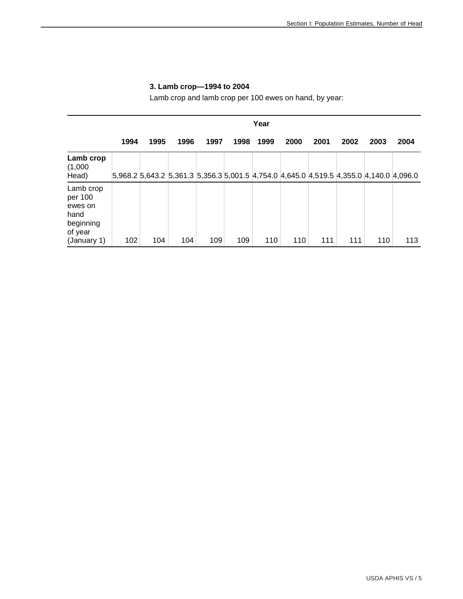|                                                                 | Year |      |                                                                                         |      |      |      |      |      |      |      |      |
|-----------------------------------------------------------------|------|------|-----------------------------------------------------------------------------------------|------|------|------|------|------|------|------|------|
|                                                                 | 1994 | 1995 | 1996                                                                                    | 1997 | 1998 | 1999 | 2000 | 2001 | 2002 | 2003 | 2004 |
| Lamb crop<br>(1,000)<br>Head)                                   |      |      | 5,968.2 5,643.2 5,361.3 5,356.3 5,001.5 4,754.0 4,645.0 4,519.5 4,355.0 4,140.0 4,096.0 |      |      |      |      |      |      |      |      |
| Lamb crop<br>per 100<br>ewes on<br>hand<br>beginning<br>of year |      |      |                                                                                         |      |      |      |      |      |      |      | 113  |
| (January 1)                                                     | 102  | 104  | 104                                                                                     | 109  | 109  | 110  | 110  | 111  | 111  | 110  |      |

# **3. Lamb crop—1994 to 2004**

Lamb crop and lamb crop per 100 ewes on hand, by year: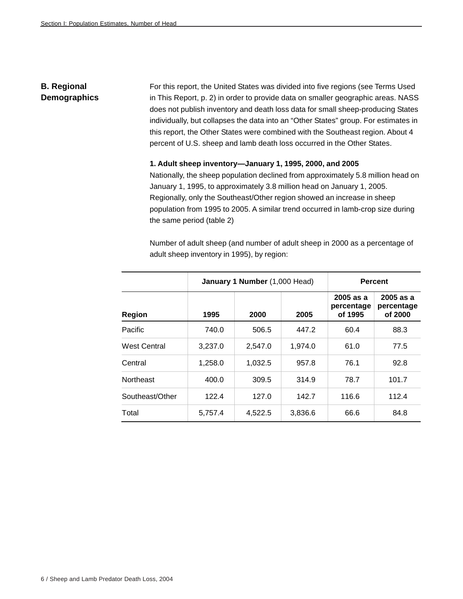# **B. Regional Demographics**

For this report, the United States was divided into five regions (see Terms Used in This Report, p. 2) in order to provide data on smaller geographic areas. NASS does not publish inventory and death loss data for small sheep-producing States individually, but collapses the data into an "Other States" group. For estimates in this report, the Other States were combined with the Southeast region. About 4 percent of U.S. sheep and lamb death loss occurred in the Other States.

#### **1. Adult sheep inventory—January 1, 1995, 2000, and 2005**

Nationally, the sheep population declined from approximately 5.8 million head on January 1, 1995, to approximately 3.8 million head on January 1, 2005. Regionally, only the Southeast/Other region showed an increase in sheep population from 1995 to 2005. A similar trend occurred in lamb-crop size during the same period (table 2)

|                     |         | January 1 Number (1,000 Head) | <b>Percent</b> |                                      |                                      |  |
|---------------------|---------|-------------------------------|----------------|--------------------------------------|--------------------------------------|--|
| <b>Region</b>       | 1995    | 2000                          | 2005           | $2005$ as a<br>percentage<br>of 1995 | $2005$ as a<br>percentage<br>of 2000 |  |
| Pacific             | 740.0   | 506.5                         | 447.2          | 60.4                                 | 88.3                                 |  |
| <b>West Central</b> | 3,237.0 | 2,547.0                       | 1,974.0        | 61.0                                 | 77.5                                 |  |
| Central             | 1,258.0 | 1.032.5                       | 957.8          | 76.1                                 | 92.8                                 |  |
| <b>Northeast</b>    | 400.0   | 309.5                         | 314.9          | 78.7                                 | 101.7                                |  |
| Southeast/Other     | 122.4   | 127.0                         | 142.7          | 116.6                                | 112.4                                |  |
| Total               | 5,757.4 | 4,522.5                       | 3,836.6        | 66.6                                 | 84.8                                 |  |

Number of adult sheep (and number of adult sheep in 2000 as a percentage of adult sheep inventory in 1995), by region: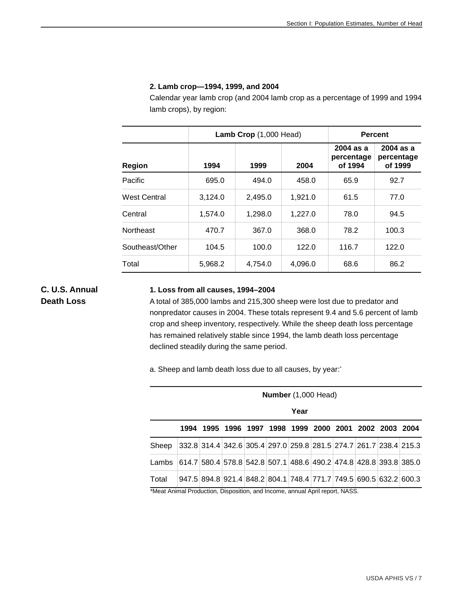#### **2. Lamb crop—1994, 1999, and 2004**

Calendar year lamb crop (and 2004 lamb crop as a percentage of 1999 and 1994 lamb crops), by region:

|                     |         | Lamb Crop (1,000 Head) | <b>Percent</b> |                                      |                                      |  |
|---------------------|---------|------------------------|----------------|--------------------------------------|--------------------------------------|--|
| <b>Region</b>       | 1994    | 1999                   | 2004           | $2004$ as a<br>percentage<br>of 1994 | $2004$ as a<br>percentage<br>of 1999 |  |
| Pacific             | 695.0   | 494.0                  | 458.0          | 65.9                                 | 92.7                                 |  |
| <b>West Central</b> | 3.124.0 | 2.495.0                | 1.921.0        | 61.5                                 | 77.0                                 |  |
| Central             | 1,574.0 | 1,298.0                | 1,227.0        | 78.0                                 | 94.5                                 |  |
| <b>Northeast</b>    | 470.7   | 367.0                  | 368.0          | 78.2                                 | 100.3                                |  |
| Southeast/Other     | 104.5   | 100.0                  | 122.0          | 116.7                                | 122.0                                |  |
| Total               | 5,968.2 | 4,754.0                | 4,096.0        | 68.6                                 | 86.2                                 |  |

# **C. U.S. Annual Death Loss**

#### **1. Loss from all causes, 1994–2004**

A total of 385,000 lambs and 215,300 sheep were lost due to predator and nonpredator causes in 2004. These totals represent 9.4 and 5.6 percent of lamb crop and sheep inventory, respectively. While the sheep death loss percentage has remained relatively stable since 1994, the lamb death loss percentage declined steadily during the same period.

a. Sheep and lamb death loss due to all causes, by year:\*

|       | Number (1,000 Head)                                               |  |  |  |  |                                                                   |  |  |  |  |  |  |  |
|-------|-------------------------------------------------------------------|--|--|--|--|-------------------------------------------------------------------|--|--|--|--|--|--|--|
|       | Year                                                              |  |  |  |  |                                                                   |  |  |  |  |  |  |  |
|       |                                                                   |  |  |  |  | 1994 1995 1996 1997 1998 1999 2000 2001 2002 2003 2004            |  |  |  |  |  |  |  |
| Sheep |                                                                   |  |  |  |  | 332.8 314.4 342.6 305.4 297.0 259.8 281.5 274.7 261.7 238.4 215.3 |  |  |  |  |  |  |  |
| Lambs | 614.7 580.4 578.8 542.8 507.1 488.6 490.2 474.8 428.8 393.8 385.0 |  |  |  |  |                                                                   |  |  |  |  |  |  |  |
| Total |                                                                   |  |  |  |  | 947.5 894.8 921.4 848.2 804.1 748.4 771.7 749.5 690.5 632.2 600.3 |  |  |  |  |  |  |  |

\*Meat Animal Production, Disposition, and Income, annual April report, NASS.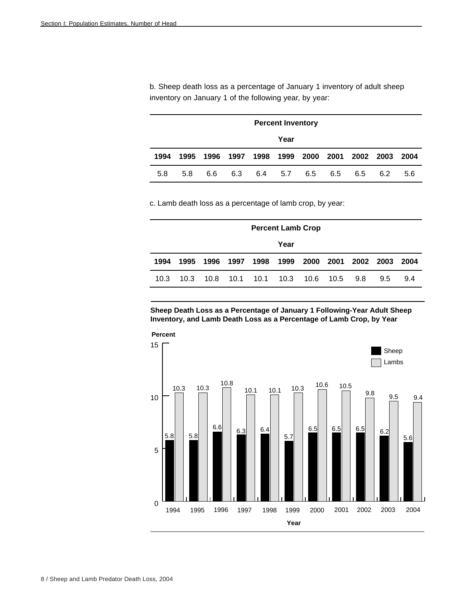b. Sheep death loss as a percentage of January 1 inventory of adult sheep inventory on January 1 of the following year, by year:

|      | <b>Percent Inventory</b> |     |  |             |  |     |     |                                         |     |        |  |
|------|--------------------------|-----|--|-------------|--|-----|-----|-----------------------------------------|-----|--------|--|
|      | Year                     |     |  |             |  |     |     |                                         |     |        |  |
| 1994 | 1995                     |     |  |             |  |     |     | 1996 1997 1998 1999 2000 2001 2002 2003 |     | - 2004 |  |
| 5.8  | 5.8                      | 6.6 |  | 6.3 6.4 5.7 |  | 6.5 | 6.5 | 6.5                                     | 6.2 | 5.6    |  |

c. Lamb death loss as a percentage of lamb crop, by year:

|      | <b>Percent Lamb Crop</b> |  |  |  |                                    |  |  |     |                |     |  |
|------|--------------------------|--|--|--|------------------------------------|--|--|-----|----------------|-----|--|
|      | Year                     |  |  |  |                                    |  |  |     |                |     |  |
| 1994 |                          |  |  |  | 1995 1996 1997 1998 1999 2000 2001 |  |  |     | 2002 2003 2004 |     |  |
| 10.3 |                          |  |  |  | 10.3 10.8 10.1 10.1 10.3 10.6 10.5 |  |  | 9.8 | $9.5^{\circ}$  | 9.4 |  |

**Sheep Death Loss as a Percentage of January 1 Following-Year Adult Sheep Inventory, and Lamb Death Loss as a Percentage of Lamb Crop, by Year**

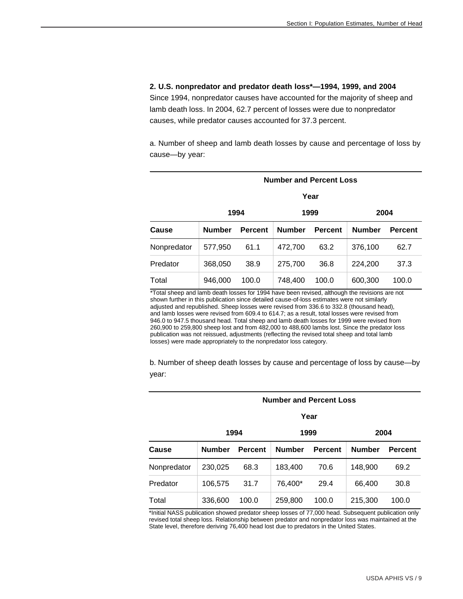#### **2. U.S. nonpredator and predator death loss\*—1994, 1999, and 2004**

Since 1994, nonpredator causes have accounted for the majority of sheep and lamb death loss. In 2004, 62.7 percent of losses were due to nonpredator causes, while predator causes accounted for 37.3 percent.

a. Number of sheep and lamb death losses by cause and percentage of loss by cause—by year:

| <b>Number and Percent Loss</b> |               |                |               |                |               |                |  |  |  |  |  |
|--------------------------------|---------------|----------------|---------------|----------------|---------------|----------------|--|--|--|--|--|
|                                | Year          |                |               |                |               |                |  |  |  |  |  |
|                                |               | 1994           |               | 1999           | 2004          |                |  |  |  |  |  |
| Cause                          | <b>Number</b> | <b>Percent</b> | <b>Number</b> | <b>Percent</b> | <b>Number</b> | <b>Percent</b> |  |  |  |  |  |
| Nonpredator                    | 577,950       | 61.1           | 472,700       | 63.2           | 376,100       | 62.7           |  |  |  |  |  |
| Predator                       | 368,050       | 38.9           | 275,700       | 36.8           | 224,200       | 37.3           |  |  |  |  |  |
| Total                          | 946,000       | 100.0          | 748,400       | 100.0          | 600,300       | 100.0          |  |  |  |  |  |

\*Total sheep and lamb death losses for 1994 have been revised, although the revisions are not shown further in this publication since detailed cause-of-loss estimates were not similarly adjusted and republished. Sheep losses were revised from 336.6 to 332.8 (thousand head), and lamb losses were revised from 609.4 to 614.7; as a result, total losses were revised from 946.0 to 947.5 thousand head. Total sheep and lamb death losses for 1999 were revised from 260,900 to 259,800 sheep lost and from 482,000 to 488,600 lambs lost. Since the predator loss publication was not reissued, adjustments (reflecting the revised total sheep and total lamb losses) were made appropriately to the nonpredator loss category.

b. Number of sheep death losses by cause and percentage of loss by cause—by year:

#### **Number and Percent Loss**

| Year |
|------|
|      |

|             |               | 1994           | 1999          |                | 2004          |                |  |
|-------------|---------------|----------------|---------------|----------------|---------------|----------------|--|
| Cause       | <b>Number</b> | <b>Percent</b> | <b>Number</b> | <b>Percent</b> | <b>Number</b> | <b>Percent</b> |  |
| Nonpredator | 230,025       | 68.3           | 183,400       | 70.6           | 148.900       | 69.2           |  |
| Predator    | 106.575       | 31.7           | 76.400*       | 29.4           | 66.400        | 30.8           |  |
| Total       | 336,600       | 100.0          | 259,800       | 100.0          | 215,300       | 100.0          |  |

\*Initial NASS publication showed predator sheep losses of 77,000 head. Subsequent publication only revised total sheep loss. Relationship between predator and nonpredator loss was maintained at the State level, therefore deriving 76,400 head lost due to predators in the United States.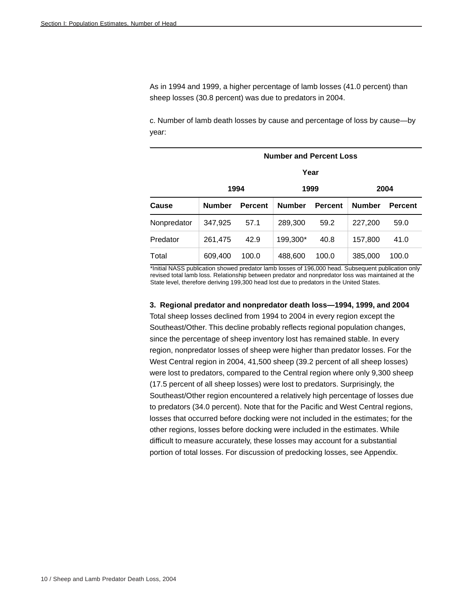As in 1994 and 1999, a higher percentage of lamb losses (41.0 percent) than sheep losses (30.8 percent) was due to predators in 2004.

c. Number of lamb death losses by cause and percentage of loss by cause—by year:

|             | <b>Number and Percent Loss</b> |                |               |                |               |                |  |  |  |  |  |
|-------------|--------------------------------|----------------|---------------|----------------|---------------|----------------|--|--|--|--|--|
|             | Year                           |                |               |                |               |                |  |  |  |  |  |
|             | 1994<br>1999<br>2004           |                |               |                |               |                |  |  |  |  |  |
| Cause       | <b>Number</b>                  | <b>Percent</b> | <b>Number</b> | <b>Percent</b> | <b>Number</b> | <b>Percent</b> |  |  |  |  |  |
| Nonpredator | 347,925                        | 57.1           | 289,300       | 59.2           | 227,200       | 59.0           |  |  |  |  |  |
| Predator    | 261,475                        | 42.9           | 199,300*      | 40.8           | 157,800       | 41.0           |  |  |  |  |  |
| Total       | 609,400                        | 100.0          | 488,600       | 100.0          | 385,000       | 100.0          |  |  |  |  |  |

\*Initial NASS publication showed predator lamb losses of 196,000 head. Subsequent publication only revised total lamb loss. Relationship between predator and nonpredator loss was maintained at the State level, therefore deriving 199,300 head lost due to predators in the United States.

#### **3. Regional predator and nonpredator death loss—1994, 1999, and 2004**

Total sheep losses declined from 1994 to 2004 in every region except the Southeast/Other. This decline probably reflects regional population changes, since the percentage of sheep inventory lost has remained stable. In every region, nonpredator losses of sheep were higher than predator losses. For the West Central region in 2004, 41,500 sheep (39.2 percent of all sheep losses) were lost to predators, compared to the Central region where only 9,300 sheep (17.5 percent of all sheep losses) were lost to predators. Surprisingly, the Southeast/Other region encountered a relatively high percentage of losses due to predators (34.0 percent). Note that for the Pacific and West Central regions, losses that occurred before docking were not included in the estimates; for the other regions, losses before docking were included in the estimates. While difficult to measure accurately, these losses may account for a substantial portion of total losses. For discussion of predocking losses, see Appendix.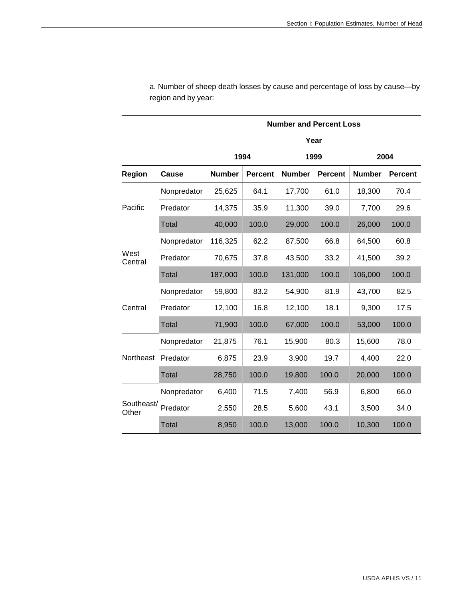|                     |              | <b>Number and Percent Loss</b>  |       |               |                |               |                |  |  |  |  |  |
|---------------------|--------------|---------------------------------|-------|---------------|----------------|---------------|----------------|--|--|--|--|--|
|                     | Year         |                                 |       |               |                |               |                |  |  |  |  |  |
|                     |              |                                 | 1994  |               | 1999           | 2004          |                |  |  |  |  |  |
| Region              | <b>Cause</b> | <b>Number</b><br><b>Percent</b> |       | <b>Number</b> | <b>Percent</b> | <b>Number</b> | <b>Percent</b> |  |  |  |  |  |
|                     | Nonpredator  | 25,625                          | 64.1  | 17,700        | 61.0           | 18,300        | 70.4           |  |  |  |  |  |
| Pacific             | Predator     | 14,375                          | 35.9  | 11,300        | 39.0           | 7,700         | 29.6           |  |  |  |  |  |
|                     | <b>Total</b> | 40,000                          | 100.0 | 29,000        | 100.0          | 26,000        | 100.0          |  |  |  |  |  |
|                     | Nonpredator  | 116,325                         | 62.2  | 87,500        | 66.8           | 64,500        | 60.8           |  |  |  |  |  |
| West<br>Central     | Predator     | 70,675                          | 37.8  | 43,500        | 33.2           | 41,500        | 39.2           |  |  |  |  |  |
|                     | <b>Total</b> | 187,000                         | 100.0 | 131,000       | 100.0          | 106,000       | 100.0          |  |  |  |  |  |
|                     | Nonpredator  | 59,800                          | 83.2  | 54,900        | 81.9           | 43,700        | 82.5           |  |  |  |  |  |
| Central             | Predator     | 12,100                          | 16.8  | 12,100        | 18.1           | 9,300         | 17.5           |  |  |  |  |  |
|                     | <b>Total</b> | 71,900                          | 100.0 | 67,000        | 100.0          | 53,000        | 100.0          |  |  |  |  |  |
|                     | Nonpredator  | 21,875                          | 76.1  | 15,900        | 80.3           | 15,600        | 78.0           |  |  |  |  |  |
| Northeast           | Predator     | 6,875                           | 23.9  | 3,900         | 19.7           | 4,400         | 22.0           |  |  |  |  |  |
|                     | <b>Total</b> | 28,750                          | 100.0 | 19,800        | 100.0          | 20,000        | 100.0          |  |  |  |  |  |
|                     | Nonpredator  | 6,400                           | 71.5  | 7,400         | 56.9           | 6,800         | 66.0           |  |  |  |  |  |
| Southeast/<br>Other | Predator     | 2,550                           | 28.5  | 5,600         | 43.1           | 3,500         | 34.0           |  |  |  |  |  |
|                     | <b>Total</b> | 8,950                           | 100.0 | 13,000        | 100.0          | 10,300        | 100.0          |  |  |  |  |  |

a. Number of sheep death losses by cause and percentage of loss by cause—by region and by year: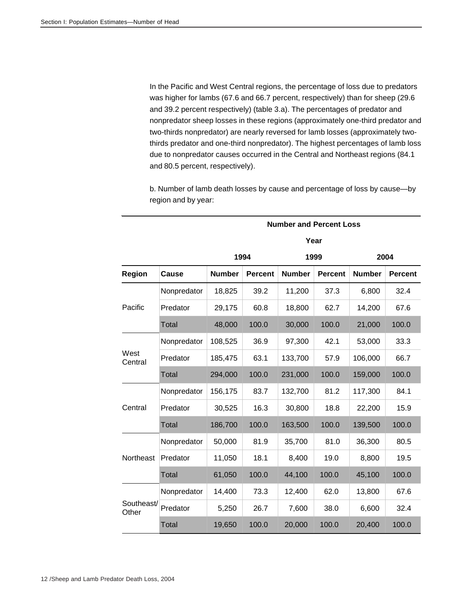In the Pacific and West Central regions, the percentage of loss due to predators was higher for lambs (67.6 and 66.7 percent, respectively) than for sheep (29.6 and 39.2 percent respectively) (table 3.a). The percentages of predator and nonpredator sheep losses in these regions (approximately one-third predator and two-thirds nonpredator) are nearly reversed for lamb losses (approximately twothirds predator and one-third nonpredator). The highest percentages of lamb loss due to nonpredator causes occurred in the Central and Northeast regions (84.1 and 80.5 percent, respectively).

b. Number of lamb death losses by cause and percentage of loss by cause—by region and by year:

|                     |              | <b>Number and Percent Loss</b> |                |               |                |               |                |  |  |  |  |  |
|---------------------|--------------|--------------------------------|----------------|---------------|----------------|---------------|----------------|--|--|--|--|--|
|                     |              |                                | Year           |               |                |               |                |  |  |  |  |  |
|                     |              |                                | 1994           |               | 1999           | 2004          |                |  |  |  |  |  |
| Region              | Cause        | <b>Number</b>                  | <b>Percent</b> | <b>Number</b> | <b>Percent</b> | <b>Number</b> | <b>Percent</b> |  |  |  |  |  |
|                     | Nonpredator  | 18,825                         | 39.2           | 11,200        | 37.3           | 6,800         | 32.4           |  |  |  |  |  |
| Pacific             | Predator     | 29,175                         | 60.8           | 18,800        | 62.7           | 14,200        | 67.6           |  |  |  |  |  |
|                     | Total        | 48,000                         | 100.0          | 30,000        | 100.0          | 21,000        | 100.0          |  |  |  |  |  |
|                     | Nonpredator  | 108,525                        | 36.9           | 97,300        | 42.1           | 53,000        | 33.3           |  |  |  |  |  |
| West<br>Central     | Predator     | 185,475                        | 63.1           | 133,700       | 57.9           | 106,000       | 66.7           |  |  |  |  |  |
|                     | Total        | 294,000                        | 100.0          | 231,000       | 100.0          | 159,000       | 100.0          |  |  |  |  |  |
|                     | Nonpredator  | 156,175                        | 83.7           | 132,700       | 81.2           | 117,300       | 84.1           |  |  |  |  |  |
| Central             | Predator     | 30,525                         | 16.3           | 30,800        | 18.8           | 22,200        | 15.9           |  |  |  |  |  |
|                     | Total        | 186,700                        | 100.0          | 163,500       | 100.0          | 139,500       | 100.0          |  |  |  |  |  |
|                     | Nonpredator  | 50,000                         | 81.9           | 35,700        | 81.0           | 36,300        | 80.5           |  |  |  |  |  |
| Northeast           | Predator     | 11,050                         | 18.1           | 8,400         | 19.0           | 8,800         | 19.5           |  |  |  |  |  |
|                     | <b>Total</b> | 61,050                         | 100.0          | 44,100        | 100.0          | 45,100        | 100.0          |  |  |  |  |  |
|                     | Nonpredator  | 14,400                         | 73.3           | 12,400        | 62.0           | 13,800        | 67.6           |  |  |  |  |  |
| Southeast/<br>Other | Predator     | 5,250                          | 26.7           | 7,600         | 38.0           | 6,600         | 32.4           |  |  |  |  |  |
|                     | Total        | 19,650                         | 100.0          | 20,000        | 100.0          | 20,400        | 100.0          |  |  |  |  |  |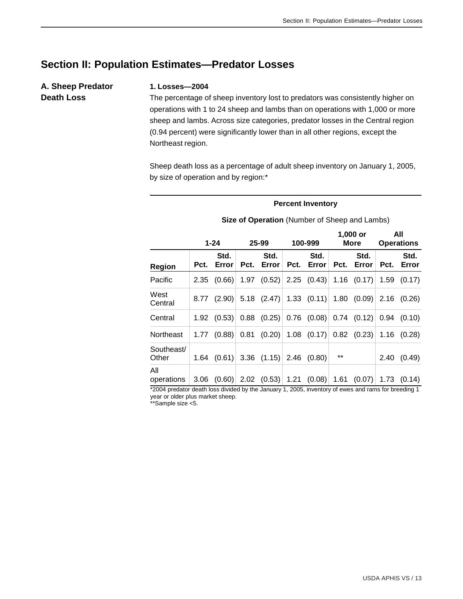# **Section II: Population Estimates—Predator Losses**

# **A. Sheep Predator Death Loss**

#### **1. Losses—2004**

The percentage of sheep inventory lost to predators was consistently higher on operations with 1 to 24 sheep and lambs than on operations with 1,000 or more sheep and lambs. Across size categories, predator losses in the Central region (0.94 percent) were significantly lower than in all other regions, except the Northeast region.

Sheep death loss as a percentage of adult sheep inventory on January 1, 2005, by size of operation and by region:\*

#### **Percent Inventory**

|                     | $1 - 24$ |                 | 25-99 |                 | 100-999 |                        | 1,000 or<br><b>More</b> |                 | All<br><b>Operations</b> |               |
|---------------------|----------|-----------------|-------|-----------------|---------|------------------------|-------------------------|-----------------|--------------------------|---------------|
| Region              | Pct.     | Std.<br>Error   | Pct.  | Std.<br>Error   | Pct.    | Std.<br>Error          | Pct.                    | Std.<br>Error   | Pct.                     | Std.<br>Error |
| Pacific             | 2.35     | (0.66)          | 1.97  | (0.52)          |         | $2.25$ $(0.43)$        | 1.16                    | (0.17)          | 1.59                     | (0.17)        |
| West<br>Central     |          | $8.77$ (2.90)   |       | $5.18$ $(2.47)$ |         | $1.33$ $(0.11)$        |                         | 1.80(0.09)      |                          | 2.16(0.26)    |
| Central             |          | $1.92$ $(0.53)$ | 0.88  | (0.25)          |         | $0.76$ $(0.08)$        |                         | $0.74$ $(0.12)$ | 0.94                     | (0.10)        |
| Northeast           | 1.77     | (0.88)          | 0.81  |                 |         | $(0.20)$ 1.08 $(0.17)$ |                         | $0.82$ (0.23)   |                          | 1.16(0.28)    |
| Southeast/<br>Other | 1.64     | (0.61)          |       | $3.36$ $(1.15)$ | 2.46    | (0.80)                 | $***$                   |                 | 2.40                     | (0.49)        |
| All<br>operations   | 3.06     | (0.60)          |       | $2.02$ (0.53)   |         | 1.21(0.08)             | 1.61                    | (0.07)          | 1.73                     | (0.14)        |

**Size of Operation** (Number of Sheep and Lambs)

\*2004 predator death loss divided by the January 1, 2005, inventory of ewes and rams for breeding 1 year or older plus market sheep.

\*\*Sample size <5.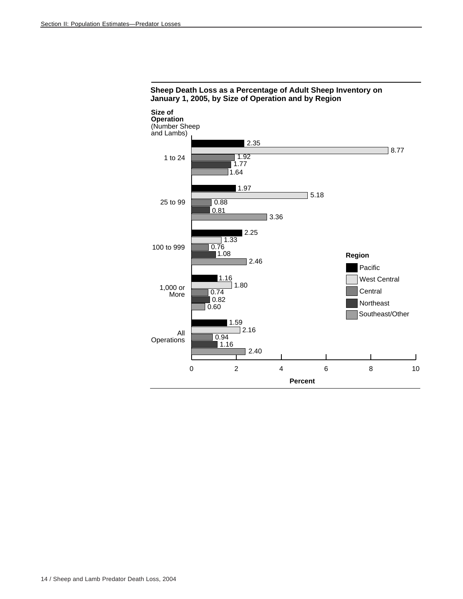

#### **Sheep Death Loss as a Percentage of Adult Sheep Inventory on January 1, 2005, by Size of Operation and by Region**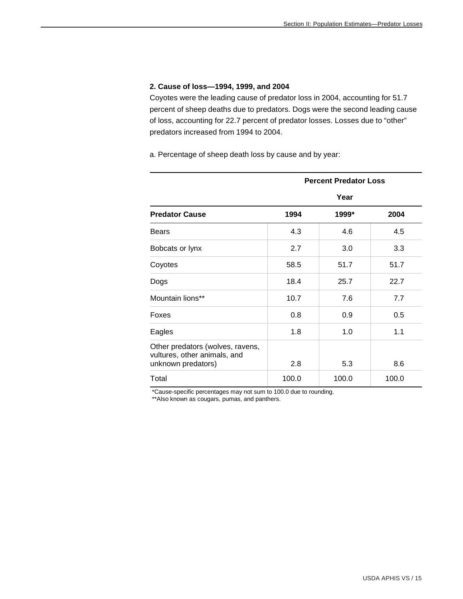#### **2. Cause of loss—1994, 1999, and 2004**

Coyotes were the leading cause of predator loss in 2004, accounting for 51.7 percent of sheep deaths due to predators. Dogs were the second leading cause of loss, accounting for 22.7 percent of predator losses. Losses due to "other" predators increased from 1994 to 2004.

a. Percentage of sheep death loss by cause and by year:

|                                                                                        | <b>Percent Predator Loss</b> |       |       |  |  |  |  |  |  |
|----------------------------------------------------------------------------------------|------------------------------|-------|-------|--|--|--|--|--|--|
|                                                                                        | Year                         |       |       |  |  |  |  |  |  |
| <b>Predator Cause</b>                                                                  | 1994                         | 1999* | 2004  |  |  |  |  |  |  |
| <b>Bears</b>                                                                           | 4.3                          | 4.6   | 4.5   |  |  |  |  |  |  |
| Bobcats or lynx                                                                        | 2.7                          | 3.0   | 3.3   |  |  |  |  |  |  |
| Coyotes                                                                                | 58.5                         | 51.7  | 51.7  |  |  |  |  |  |  |
| Dogs                                                                                   | 18.4                         | 25.7  | 22.7  |  |  |  |  |  |  |
| Mountain lions**                                                                       | 10.7                         | 7.6   | 7.7   |  |  |  |  |  |  |
| Foxes                                                                                  | 0.8                          | 0.9   | 0.5   |  |  |  |  |  |  |
| Eagles                                                                                 | 1.8                          | 1.0   | 1.1   |  |  |  |  |  |  |
| Other predators (wolves, ravens,<br>vultures, other animals, and<br>unknown predators) | 2.8                          | 5.3   | 8.6   |  |  |  |  |  |  |
| Total                                                                                  | 100.0                        | 100.0 | 100.0 |  |  |  |  |  |  |

\*Cause-specific percentages may not sum to 100.0 due to rounding.

\*\*Also known as cougars, pumas, and panthers.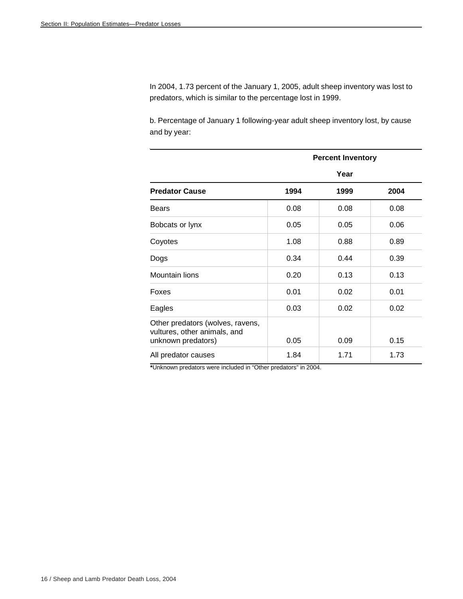In 2004, 1.73 percent of the January 1, 2005, adult sheep inventory was lost to predators, which is similar to the percentage lost in 1999.

b. Percentage of January 1 following-year adult sheep inventory lost, by cause and by year:

|                                                                                        |      | <b>Percent Inventory</b> |      |
|----------------------------------------------------------------------------------------|------|--------------------------|------|
|                                                                                        |      | Year                     |      |
| <b>Predator Cause</b>                                                                  | 1994 | 1999                     | 2004 |
| <b>Bears</b>                                                                           | 0.08 | 0.08                     | 0.08 |
| Bobcats or lynx                                                                        | 0.05 | 0.05                     | 0.06 |
| Coyotes                                                                                | 1.08 | 0.88                     | 0.89 |
| Dogs                                                                                   | 0.34 | 0.44                     | 0.39 |
| Mountain lions                                                                         | 0.20 | 0.13                     | 0.13 |
| Foxes                                                                                  | 0.01 | 0.02                     | 0.01 |
| Eagles                                                                                 | 0.03 | 0.02                     | 0.02 |
| Other predators (wolves, ravens,<br>vultures, other animals, and<br>unknown predators) | 0.05 | 0.09                     | 0.15 |
| All predator causes                                                                    | 1.84 | 1.71                     | 1.73 |

**\***Unknown predators were included in "Other predators" in 2004.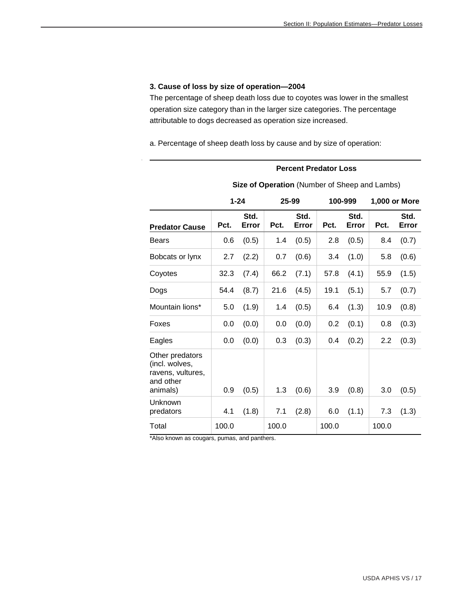#### **3. Cause of loss by size of operation—2004**

The percentage of sheep death loss due to coyotes was lower in the smallest operation size category than in the larger size categories. The percentage attributable to dogs decreased as operation size increased.

a. Percentage of sheep death loss by cause and by size of operation:

#### **Percent Predator Loss**

|                                                                                 | $1 - 24$ |               |       | 25-99         |       | 100-999       | 1,000 or More    |               |  |
|---------------------------------------------------------------------------------|----------|---------------|-------|---------------|-------|---------------|------------------|---------------|--|
| <b>Predator Cause</b>                                                           | Pct.     | Std.<br>Error | Pct.  | Std.<br>Error | Pct.  | Std.<br>Error | Pct.             | Std.<br>Error |  |
| Bears                                                                           | 0.6      | (0.5)         | 1.4   | (0.5)         | 2.8   | (0.5)         | 8.4              | (0.7)         |  |
| Bobcats or lynx                                                                 | 2.7      | (2.2)         | 0.7   | (0.6)         | 3.4   | (1.0)         | 5.8              | (0.6)         |  |
| Coyotes                                                                         | 32.3     | (7.4)         | 66.2  | (7.1)         | 57.8  | (4.1)         | 55.9             | (1.5)         |  |
| Dogs                                                                            | 54.4     | (8.7)         | 21.6  | (4.5)         | 19.1  | (5.1)         | 5.7              | (0.7)         |  |
| Mountain lions*                                                                 | 5.0      | (1.9)         | 1.4   | (0.5)         | 6.4   | (1.3)         | 10.9             | (0.8)         |  |
| Foxes                                                                           | 0.0      | (0.0)         | 0.0   | (0.0)         | 0.2   | (0.1)         | 0.8              | (0.3)         |  |
| Eagles                                                                          | 0.0      | (0.0)         | 0.3   | (0.3)         | 0.4   | (0.2)         | $2.2\phantom{0}$ | (0.3)         |  |
| Other predators<br>(incl. wolves,<br>ravens, vultures,<br>and other<br>animals) | 0.9      | (0.5)         | 1.3   | (0.6)         | 3.9   | (0.8)         | 3.0              | (0.5)         |  |
| Unknown<br>predators                                                            | 4.1      | (1.8)         | 7.1   | (2.8)         | 6.0   | (1.1)         | 7.3              | (1.3)         |  |
| Total                                                                           | 100.0    |               | 100.0 |               | 100.0 |               | 100.0            |               |  |

**Size of Operation** (Number of Sheep and Lambs)

\*Also known as cougars, pumas, and panthers.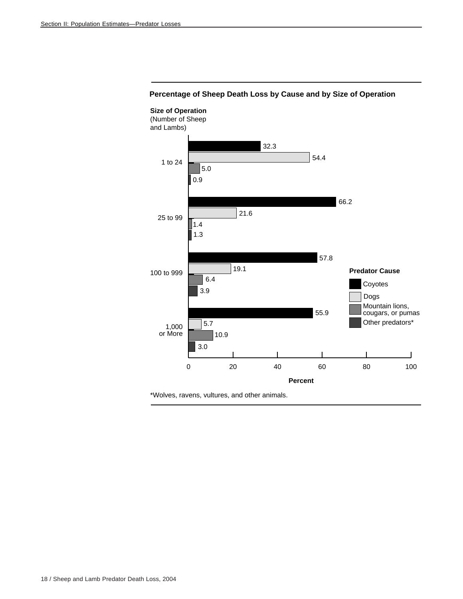

#### **Percentage of Sheep Death Loss by Cause and by Size of Operation**

\*Wolves, ravens, vultures, and other animals.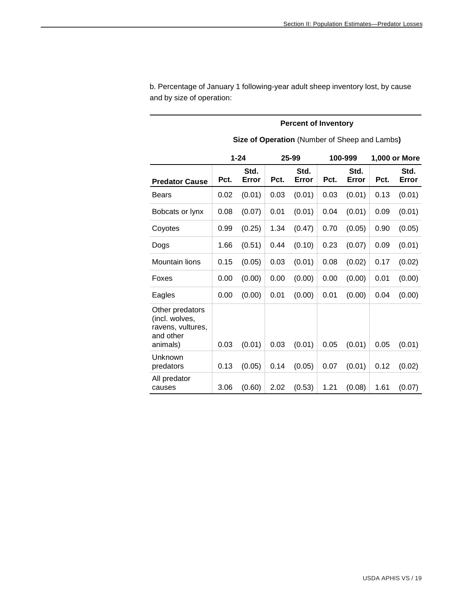|                                                                                 | Size of Operation (Number of Sheep and Lambs) |               |      |               |      |               |      |               |  |  |  |
|---------------------------------------------------------------------------------|-----------------------------------------------|---------------|------|---------------|------|---------------|------|---------------|--|--|--|
|                                                                                 | $1 - 24$<br>25-99<br>100-999                  |               |      |               |      |               |      | 1,000 or More |  |  |  |
| <b>Predator Cause</b>                                                           | Pct.                                          | Std.<br>Error | Pct. | Std.<br>Error | Pct. | Std.<br>Error | Pct. | Std.<br>Error |  |  |  |
| <b>Bears</b>                                                                    | 0.02                                          | (0.01)        | 0.03 | (0.01)        | 0.03 | (0.01)        | 0.13 | (0.01)        |  |  |  |
| Bobcats or lynx                                                                 | 0.08                                          | (0.07)        | 0.01 | (0.01)        | 0.04 | (0.01)        | 0.09 | (0.01)        |  |  |  |
| Coyotes                                                                         | 0.99                                          | (0.25)        | 1.34 | (0.47)        | 0.70 | (0.05)        | 0.90 | (0.05)        |  |  |  |
| Dogs                                                                            | 1.66                                          | (0.51)        | 0.44 | (0.10)        | 0.23 | (0.07)        | 0.09 | (0.01)        |  |  |  |
| Mountain lions                                                                  | 0.15                                          | (0.05)        | 0.03 | (0.01)        | 0.08 | (0.02)        | 0.17 | (0.02)        |  |  |  |
| Foxes                                                                           | 0.00                                          | (0.00)        | 0.00 | (0.00)        | 0.00 | (0.00)        | 0.01 | (0.00)        |  |  |  |
| Eagles                                                                          | 0.00                                          | (0.00)        | 0.01 | (0.00)        | 0.01 | (0.00)        | 0.04 | (0.00)        |  |  |  |
| Other predators<br>(incl. wolves,<br>ravens, vultures,<br>and other<br>animals) | 0.03                                          | (0.01)        | 0.03 | (0.01)        | 0.05 | (0.01)        | 0.05 | (0.01)        |  |  |  |
| Unknown<br>predators                                                            | 0.13                                          | (0.05)        | 0.14 | (0.05)        | 0.07 | (0.01)        | 0.12 | (0.02)        |  |  |  |
| All predator<br>causes                                                          | 3.06                                          | (0.60)        | 2.02 | (0.53)        | 1.21 | (0.08)        | 1.61 | (0.07)        |  |  |  |

b. Percentage of January 1 following-year adult sheep inventory lost, by cause and by size of operation:

#### **Percent of Inventory**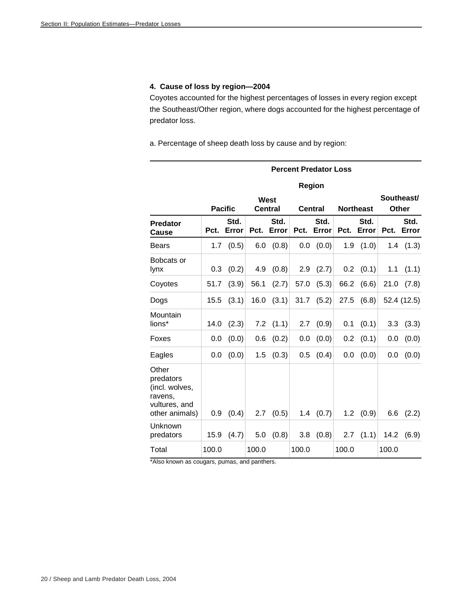#### **4. Cause of loss by region—2004**

Coyotes accounted for the highest percentages of losses in every region except the Southeast/Other region, where dogs accounted for the highest percentage of predator loss.

a. Percentage of sheep death loss by cause and by region:

|                                                                                    |       |                |       |                               | <b>Percent Predator Loss</b> |                |       |                  |       |                            |
|------------------------------------------------------------------------------------|-------|----------------|-------|-------------------------------|------------------------------|----------------|-------|------------------|-------|----------------------------|
|                                                                                    |       |                |       |                               |                              | Region         |       |                  |       |                            |
|                                                                                    |       | <b>Pacific</b> |       | <b>West</b><br><b>Central</b> |                              | <b>Central</b> |       | <b>Northeast</b> |       | Southeast/<br><b>Other</b> |
| <b>Predator</b><br>Cause                                                           | Pct.  | Std.<br>Error  | Pct.  | Std.<br>Error                 | Pct.                         | Std.<br>Error  | Pct.  | Std.<br>Error    | Pct.  | Std.<br>Error              |
| <b>Bears</b>                                                                       | 1.7   | (0.5)          | 6.0   | (0.8)                         | 0.0                          | (0.0)          | 1.9   | (1.0)            |       | $1.4$ $(1.3)$              |
| Bobcats or<br>lynx                                                                 | 0.3   | (0.2)          | 4.9   | (0.8)                         | 2.9                          | (2.7)          | 0.2   | (0.1)            | 1.1   | (1.1)                      |
| Coyotes                                                                            | 51.7  | (3.9)          | 56.1  | (2.7)                         | 57.0                         | (5.3)          | 66.2  | (6.6)            | 21.0  | (7.8)                      |
| Dogs                                                                               | 15.5  | (3.1)          | 16.0  | (3.1)                         | 31.7                         | (5.2)          | 27.5  | (6.8)            |       | 52.4 (12.5)                |
| Mountain<br>lions*                                                                 | 14.0  | (2.3)          | 7.2   | (1.1)                         | 2.7                          | (0.9)          | 0.1   | (0.1)            | 3.3   | (3.3)                      |
| Foxes                                                                              | 0.0   | (0.0)          | 0.6   | (0.2)                         | 0.0                          | (0.0)          | 0.2   | (0.1)            | 0.0   | (0.0)                      |
| Eagles                                                                             | 0.0   | (0.0)          | 1.5   | (0.3)                         | 0.5                          | (0.4)          | 0.0   | (0.0)            | 0.0   | (0.0)                      |
| Other<br>predators<br>(incl. wolves,<br>ravens,<br>vultures, and<br>other animals) | 0.9   | (0.4)          | 2.7   | (0.5)                         | 1.4                          | (0.7)          | 1.2   | (0.9)            | 6.6   | (2.2)                      |
| Unknown<br>predators                                                               | 15.9  | (4.7)          | 5.0   | (0.8)                         | 3.8                          | (0.8)          | 2.7   | (1.1)            | 14.2  | (6.9)                      |
| Total                                                                              | 100.0 |                | 100.0 |                               | 100.0                        |                | 100.0 |                  | 100.0 |                            |

\*Also known as cougars, pumas, and panthers.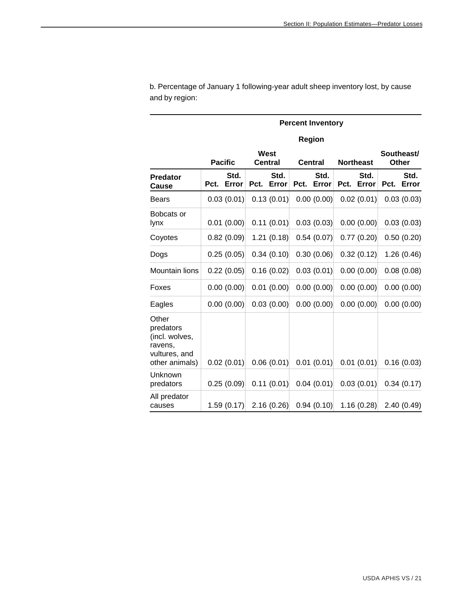|                                                                                    |      | <b>Percent Inventory</b> |                        |               |                             |               |      |               |                            |               |  |  |
|------------------------------------------------------------------------------------|------|--------------------------|------------------------|---------------|-----------------------------|---------------|------|---------------|----------------------------|---------------|--|--|
|                                                                                    |      |                          |                        |               |                             | Region        |      |               |                            |               |  |  |
|                                                                                    |      | <b>Pacific</b>           | West<br><b>Central</b> |               | Central<br><b>Northeast</b> |               |      |               | Southeast/<br><b>Other</b> |               |  |  |
| <b>Predator</b><br>Cause                                                           | Pct. | Std.<br>Error            | Pct.                   | Std.<br>Error | Pct.                        | Std.<br>Error | Pct. | Std.<br>Error | Pct.                       | Std.<br>Error |  |  |
| <b>Bears</b>                                                                       |      | 0.03(0.01)               |                        | 0.13(0.01)    |                             | 0.00(0.00)    |      | 0.02(0.01)    |                            | 0.03(0.03)    |  |  |
| Bobcats or<br>lynx                                                                 |      | 0.01(0.00)               |                        | 0.11(0.01)    |                             | 0.03(0.03)    |      | 0.00(0.00)    |                            | 0.03(0.03)    |  |  |
| Coyotes                                                                            |      | 0.82(0.09)               |                        | 1.21(0.18)    |                             | 0.54(0.07)    |      | 0.77(0.20)    |                            | 0.50(0.20)    |  |  |
| Dogs                                                                               |      | 0.25(0.05)               |                        | 0.34(0.10)    |                             | 0.30(0.06)    |      | 0.32(0.12)    |                            | 1.26(0.46)    |  |  |
| Mountain lions                                                                     |      | 0.22(0.05)               |                        | 0.16(0.02)    |                             | 0.03(0.01)    |      | 0.00(0.00)    |                            | 0.08(0.08)    |  |  |
| Foxes                                                                              |      | 0.00(0.00)               |                        | 0.01(0.00)    |                             | 0.00(0.00)    |      | 0.00(0.00)    |                            | 0.00(0.00)    |  |  |
| Eagles                                                                             |      | 0.00(0.00)               |                        | 0.03(0.00)    |                             | 0.00(0.00)    |      | 0.00(0.00)    |                            | 0.00(0.00)    |  |  |
| Other<br>predators<br>(incl. wolves,<br>ravens,<br>vultures, and<br>other animals) |      | 0.02(0.01)               |                        | 0.06(0.01)    |                             | 0.01(0.01)    |      | 0.01(0.01)    |                            | 0.16(0.03)    |  |  |
| Unknown<br>predators                                                               |      | 0.25(0.09)               |                        | 0.11(0.01)    |                             | 0.04(0.01)    |      | 0.03(0.01)    |                            | 0.34(0.17)    |  |  |
| All predator<br>causes                                                             |      | 1.59(0.17)               |                        | 2.16(0.26)    |                             | 0.94(0.10)    |      | 1.16(0.28)    |                            | 2.40(0.49)    |  |  |

b. Percentage of January 1 following-year adult sheep inventory lost, by cause and by region: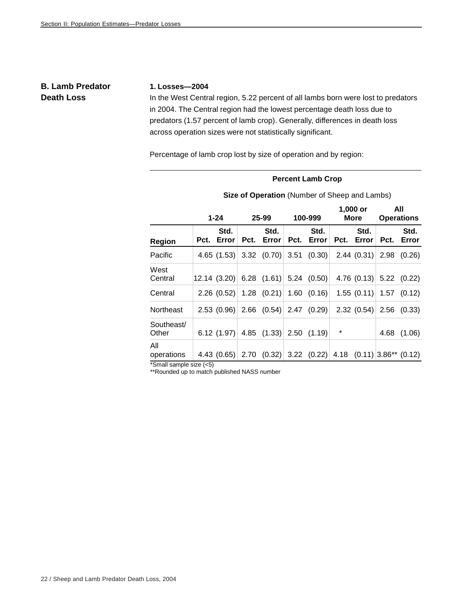# **B. Lamb Predator Death Loss**

#### **1. Losses—2004**

In the West Central region, 5.22 percent of all lambs born were lost to predators in 2004. The Central region had the lowest percentage death loss due to predators (1.57 percent of lamb crop). Generally, differences in death loss across operation sizes were not statistically significant.

Percentage of lamb crop lost by size of operation and by region:

#### **Percent Lamb Crop**

|                     |      | $1 - 24$      |      | 25-99                       | 100-999 |                                                     | 1,000 or<br>More |               | All<br><b>Operations</b> |                 |
|---------------------|------|---------------|------|-----------------------------|---------|-----------------------------------------------------|------------------|---------------|--------------------------|-----------------|
| Region              | Pct. | Std.<br>Error | Pct. | Std.<br>Error               | Pct.    | Std.<br>Error                                       | Pct.             | Std.<br>Error | Pct.                     | Std.<br>Error   |
| Pacific             |      | 4.65(1.53)    |      | $3.32$ $(0.70)$             |         | $3.51$ $(0.30)$                                     |                  | 2.44(0.31)    | 2.98                     | (0.26)          |
| West<br>Central     |      | 12.14(3.20)   |      | 6.28 $(1.61)$               |         | $5.24$ (0.50)                                       |                  | 4.76 $(0.13)$ |                          | 5.22(0.22)      |
| Central             |      | 2.26(0.52)    |      | $1.28$ (0.21)               |         | 1.60 (0.16)                                         |                  | 1.55(0.11)    |                          | $1.57$ $(0.12)$ |
| Northeast           |      | 2.53(0.96)    |      |                             |         | $2.66$ $(0.54)$ $2.47$ $(0.29)$                     |                  | 2.32(0.54)    |                          | $2.56$ $(0.33)$ |
| Southeast/<br>Other |      |               |      | 6.12 $(1.97)$ 4.85 $(1.33)$ |         | 2.50(1.19)                                          | *                |               | 4.68                     | (1.06)          |
| All<br>operations   |      | 4.43(0.65)    | 2.70 | (0.32)                      |         | $3.22$ (0.22) 4.18 (0.11) 3.86 <sup>**</sup> (0.12) |                  |               |                          |                 |

**Size of Operation** (Number of Sheep and Lambs)

\*Small sample size (<5)

\*\*Rounded up to match published NASS number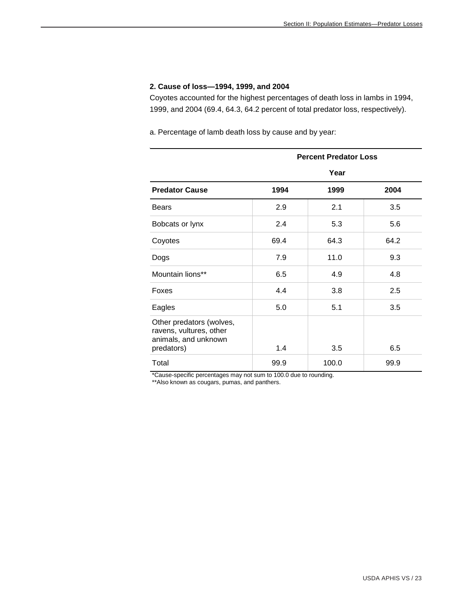#### **2. Cause of loss—1994, 1999, and 2004**

Coyotes accounted for the highest percentages of death loss in lambs in 1994, 1999, and 2004 (69.4, 64.3, 64.2 percent of total predator loss, respectively).

a. Percentage of lamb death loss by cause and by year:

|                                                                                           | <b>Percent Predator Loss</b> |       |      |  |  |  |  |  |
|-------------------------------------------------------------------------------------------|------------------------------|-------|------|--|--|--|--|--|
|                                                                                           |                              | Year  |      |  |  |  |  |  |
| <b>Predator Cause</b>                                                                     | 1994                         | 1999  | 2004 |  |  |  |  |  |
| <b>Bears</b>                                                                              | 2.9                          | 2.1   | 3.5  |  |  |  |  |  |
| Bobcats or lynx                                                                           | 2.4                          | 5.3   | 5.6  |  |  |  |  |  |
| Coyotes                                                                                   | 69.4                         | 64.3  | 64.2 |  |  |  |  |  |
| Dogs                                                                                      | 7.9                          | 11.0  | 9.3  |  |  |  |  |  |
| Mountain lions**                                                                          | 6.5                          | 4.9   | 4.8  |  |  |  |  |  |
| Foxes                                                                                     | 4.4                          | 3.8   | 2.5  |  |  |  |  |  |
| Eagles                                                                                    | 5.0                          | 5.1   | 3.5  |  |  |  |  |  |
| Other predators (wolves,<br>ravens, vultures, other<br>animals, and unknown<br>predators) | 1.4                          | 3.5   | 6.5  |  |  |  |  |  |
| Total                                                                                     | 99.9                         | 100.0 | 99.9 |  |  |  |  |  |

\*Cause-specific percentages may not sum to 100.0 due to rounding.

\*\*Also known as cougars, pumas, and panthers.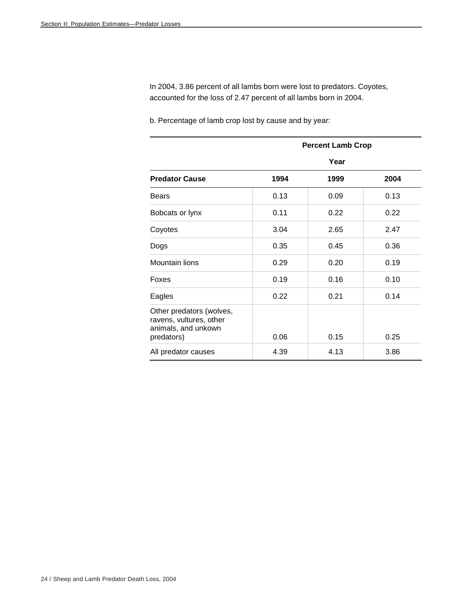In 2004, 3.86 percent of all lambs born were lost to predators. Coyotes, accounted for the loss of 2.47 percent of all lambs born in 2004.

b. Percentage of lamb crop lost by cause and by year:

|                                                                                          | <b>Percent Lamb Crop</b> |      |      |  |  |  |  |
|------------------------------------------------------------------------------------------|--------------------------|------|------|--|--|--|--|
|                                                                                          |                          | Year |      |  |  |  |  |
| <b>Predator Cause</b>                                                                    | 1994                     | 1999 | 2004 |  |  |  |  |
| <b>Bears</b>                                                                             | 0.13                     | 0.09 | 0.13 |  |  |  |  |
| Bobcats or lynx                                                                          | 0.11                     | 0.22 | 0.22 |  |  |  |  |
| Coyotes                                                                                  | 3.04                     | 2.65 | 2.47 |  |  |  |  |
| Dogs                                                                                     | 0.35                     | 0.45 | 0.36 |  |  |  |  |
| <b>Mountain lions</b>                                                                    | 0.29                     | 0.20 | 0.19 |  |  |  |  |
| Foxes                                                                                    | 0.19                     | 0.16 | 0.10 |  |  |  |  |
| Eagles                                                                                   | 0.22                     | 0.21 | 0.14 |  |  |  |  |
| Other predators (wolves,<br>ravens, vultures, other<br>animals, and unkown<br>predators) | 0.06                     | 0.15 | 0.25 |  |  |  |  |
| All predator causes                                                                      | 4.39                     | 4.13 | 3.86 |  |  |  |  |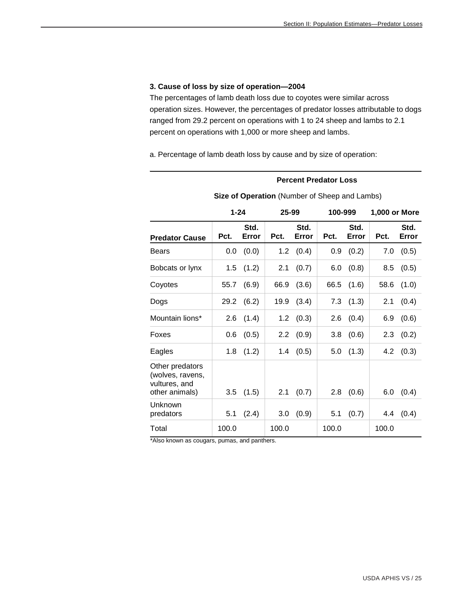#### **3. Cause of loss by size of operation—2004**

The percentages of lamb death loss due to coyotes were similar across operation sizes. However, the percentages of predator losses attributable to dogs ranged from 29.2 percent on operations with 1 to 24 sheep and lambs to 2.1 percent on operations with 1,000 or more sheep and lambs.

a. Percentage of lamb death loss by cause and by size of operation:

#### **Percent Predator Loss**

|                                                                        | $1 - 24$ |               | 25-99 |               | 100-999 |               | 1,000 or More |               |
|------------------------------------------------------------------------|----------|---------------|-------|---------------|---------|---------------|---------------|---------------|
| <b>Predator Cause</b>                                                  | Pct.     | Std.<br>Error | Pct.  | Std.<br>Error | Pct.    | Std.<br>Error | Pct.          | Std.<br>Error |
| <b>Bears</b>                                                           | 0.0      | (0.0)         | 1.2   | (0.4)         | 0.9     | (0.2)         | 7.0           | (0.5)         |
| Bobcats or lynx                                                        | 1.5      | (1.2)         | 2.1   | (0.7)         | 6.0     | (0.8)         | 8.5           | (0.5)         |
| Coyotes                                                                | 55.7     | (6.9)         | 66.9  | (3.6)         | 66.5    | (1.6)         | 58.6          | (1.0)         |
| Dogs                                                                   | 29.2     | (6.2)         | 19.9  | (3.4)         | 7.3     | (1.3)         | 2.1           | (0.4)         |
| Mountain lions*                                                        | 2.6      | (1.4)         | 1.2   | (0.3)         | 2.6     | (0.4)         | 6.9           | (0.6)         |
| Foxes                                                                  | 0.6      | (0.5)         | 2.2   | (0.9)         | 3.8     | (0.6)         | 2.3           | (0.2)         |
| Eagles                                                                 | 1.8      | (1.2)         | 1.4   | (0.5)         | 5.0     | (1.3)         | 4.2           | (0.3)         |
| Other predators<br>(wolves, ravens,<br>vultures, and<br>other animals) | 3.5      | (1.5)         | 2.1   | (0.7)         | 2.8     | (0.6)         | 6.0           | (0.4)         |
| Unknown<br>predators                                                   | 5.1      | (2.4)         | 3.0   | (0.9)         | 5.1     | (0.7)         | 4.4           | (0.4)         |
| Total                                                                  | 100.0    |               | 100.0 |               | 100.0   |               | 100.0         |               |

#### **Size of Operation** (Number of Sheep and Lambs)

\*Also known as cougars, pumas, and panthers.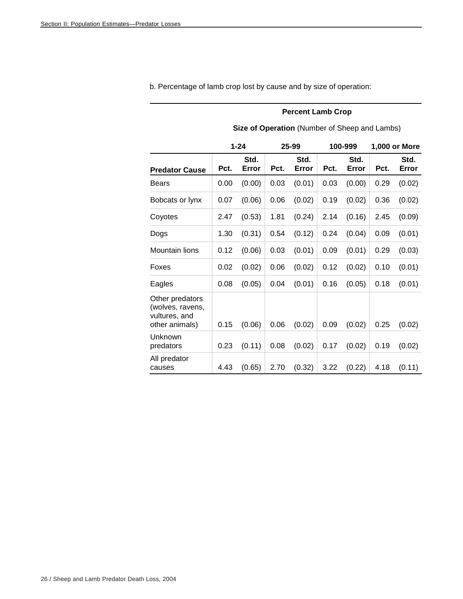|                                                                        | Size of Operation (Number of Sheep and Lambs) |               |      |               |      |               |               |               |  |
|------------------------------------------------------------------------|-----------------------------------------------|---------------|------|---------------|------|---------------|---------------|---------------|--|
|                                                                        |                                               | $1 - 24$      |      | 25-99         |      | 100-999       | 1,000 or More |               |  |
| <b>Predator Cause</b>                                                  | Pct.                                          | Std.<br>Error | Pct. | Std.<br>Error | Pct. | Std.<br>Error | Pct.          | Std.<br>Error |  |
| <b>Bears</b>                                                           | 0.00                                          | (0.00)        | 0.03 | (0.01)        | 0.03 | (0.00)        | 0.29          | (0.02)        |  |
| Bobcats or lynx                                                        | 0.07                                          | (0.06)        | 0.06 | (0.02)        | 0.19 | (0.02)        | 0.36          | (0.02)        |  |
| Coyotes                                                                | 2.47                                          | (0.53)        | 1.81 | (0.24)        | 2.14 | (0.16)        | 2.45          | (0.09)        |  |
| Dogs                                                                   | 1.30                                          | (0.31)        | 0.54 | (0.12)        | 0.24 | (0.04)        | 0.09          | (0.01)        |  |
| Mountain lions                                                         | 0.12                                          | (0.06)        | 0.03 | (0.01)        | 0.09 | (0.01)        | 0.29          | (0.03)        |  |
| Foxes                                                                  | 0.02                                          | (0.02)        | 0.06 | (0.02)        | 0.12 | (0.02)        | 0.10          | (0.01)        |  |
| Eagles                                                                 | 0.08                                          | (0.05)        | 0.04 | (0.01)        | 0.16 | (0.05)        | 0.18          | (0.01)        |  |
| Other predators<br>(wolves, ravens,<br>vultures, and<br>other animals) | 0.15                                          | (0.06)        | 0.06 | (0.02)        | 0.09 | (0.02)        | 0.25          | (0.02)        |  |
| Unknown<br>predators                                                   | 0.23                                          | (0.11)        | 0.08 | (0.02)        | 0.17 | (0.02)        | 0.19          | (0.02)        |  |
| All predator<br>causes                                                 | 4.43                                          | (0.65)        | 2.70 | (0.32)        | 3.22 | (0.22)        | 4.18          | (0.11)        |  |

b. Percentage of lamb crop lost by cause and by size of operation:

### **Percent Lamb Crop**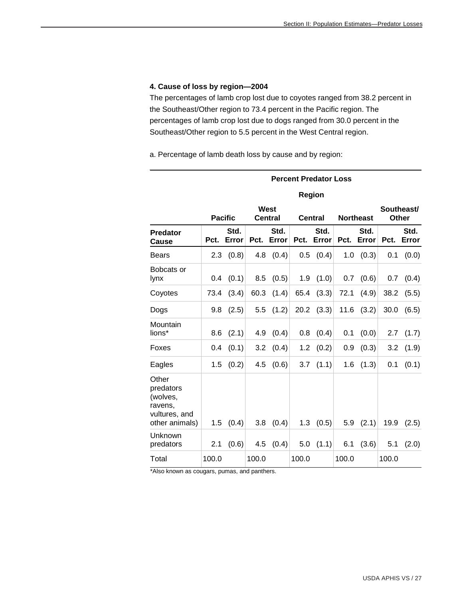#### **4. Cause of loss by region—2004**

The percentages of lamb crop lost due to coyotes ranged from 38.2 percent in the Southeast/Other region to 73.4 percent in the Pacific region. The percentages of lamb crop lost due to dogs ranged from 30.0 percent in the Southeast/Other region to 5.5 percent in the West Central region.

a. Percentage of lamb death loss by cause and by region:

|                                                                              |       | <b>Percent Predator Loss</b> |       |                        |       |                |                  |               |                            |               |  |
|------------------------------------------------------------------------------|-------|------------------------------|-------|------------------------|-------|----------------|------------------|---------------|----------------------------|---------------|--|
|                                                                              |       |                              |       |                        |       | Region         |                  |               |                            |               |  |
|                                                                              |       | <b>Pacific</b>               |       | West<br><b>Central</b> |       | <b>Central</b> | <b>Northeast</b> |               | Southeast/<br><b>Other</b> |               |  |
| <b>Predator</b><br>Cause                                                     | Pct.  | Std.<br>Error                | Pct.  | Std.<br>Error          | Pct.  | Std.<br>Error  | Pct.             | Std.<br>Error | Pct.                       | Std.<br>Error |  |
| Bears                                                                        | 2.3   | (0.8)                        | 4.8   | (0.4)                  | 0.5   | (0.4)          | 1.0              | (0.3)         | 0.1                        | (0.0)         |  |
| Bobcats or<br>lynx                                                           | 0.4   | (0.1)                        | 8.5   | (0.5)                  | 1.9   | (1.0)          | 0.7              | (0.6)         | 0.7                        | (0.4)         |  |
| Coyotes                                                                      | 73.4  | (3.4)                        | 60.3  | (1.4)                  | 65.4  | (3.3)          | 72.1             | (4.9)         | 38.2                       | (5.5)         |  |
| Dogs                                                                         | 9.8   | (2.5)                        | 5.5   | (1.2)                  | 20.2  | (3.3)          | 11.6             | (3.2)         | 30.0                       | (6.5)         |  |
| Mountain<br>lions*                                                           | 8.6   | (2.1)                        | 4.9   | (0.4)                  | 0.8   | (0.4)          | 0.1              | (0.0)         | 2.7                        | (1.7)         |  |
| Foxes                                                                        | 0.4   | (0.1)                        | 3.2   | (0.4)                  | 1.2   | (0.2)          | 0.9              | (0.3)         | 3.2                        | (1.9)         |  |
| Eagles                                                                       | 1.5   | (0.2)                        | 4.5   | (0.6)                  | 3.7   | (1.1)          | 1.6              | (1.3)         | 0.1                        | (0.1)         |  |
| Other<br>predators<br>(wolves,<br>ravens,<br>vultures, and<br>other animals) | 1.5   | (0.4)                        | 3.8   | (0.4)                  | 1.3   | (0.5)          | 5.9              | (2.1)         | 19.9                       | (2.5)         |  |
| Unknown<br>predators                                                         | 2.1   | (0.6)                        | 4.5   | (0.4)                  | 5.0   | (1.1)          | 6.1              | (3.6)         | 5.1                        | (2.0)         |  |
| Total                                                                        | 100.0 |                              | 100.0 |                        | 100.0 |                | 100.0            |               | 100.0                      |               |  |

\*Also known as cougars, pumas, and panthers.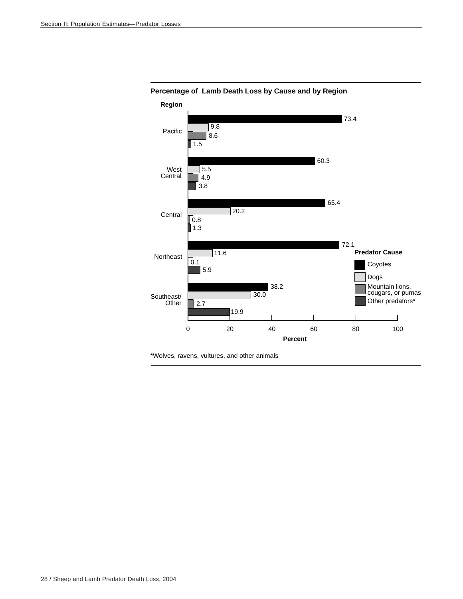

**Percentage of Lamb Death Loss by Cause and by Region**

\*Wolves, ravens, vultures, and other animals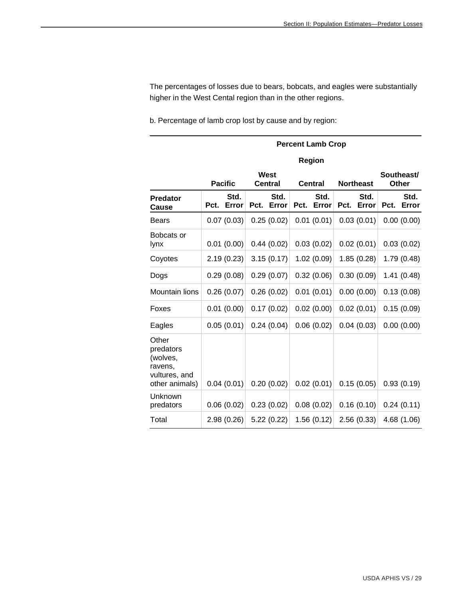The percentages of losses due to bears, bobcats, and eagles were substantially higher in the West Cental region than in the other regions.

b. Percentage of lamb crop lost by cause and by region:

|                                                                              |      | <b>Percent Lamb Crop</b> |      |                        |      |                |                  |               |                     |               |  |
|------------------------------------------------------------------------------|------|--------------------------|------|------------------------|------|----------------|------------------|---------------|---------------------|---------------|--|
|                                                                              |      |                          |      |                        |      | Region         |                  |               |                     |               |  |
|                                                                              |      | <b>Pacific</b>           |      | West<br><b>Central</b> |      | <b>Central</b> | <b>Northeast</b> |               | Southeast/<br>Other |               |  |
| <b>Predator</b><br>Cause                                                     | Pct. | Std.<br>Error            | Pct. | Std.<br>Error          | Pct. | Std.<br>Error  | Pct.             | Std.<br>Error | Pct.                | Std.<br>Error |  |
| Bears                                                                        |      | 0.07(0.03)               |      | 0.25(0.02)             |      | 0.01(0.01)     |                  | 0.03(0.01)    |                     | 0.00(0.00)    |  |
| Bobcats or<br>lynx                                                           |      | 0.01(0.00)               |      | 0.44(0.02)             |      | 0.03(0.02)     |                  | 0.02(0.01)    |                     | 0.03(0.02)    |  |
| Coyotes                                                                      |      | 2.19(0.23)               |      | 3.15(0.17)             |      | 1.02(0.09)     |                  | 1.85(0.28)    |                     | 1.79 (0.48)   |  |
| Dogs                                                                         |      | 0.29(0.08)               |      | 0.29(0.07)             |      | 0.32(0.06)     |                  | 0.30(0.09)    |                     | 1.41(0.48)    |  |
| Mountain lions                                                               |      | 0.26(0.07)               |      | 0.26(0.02)             |      | 0.01(0.01)     |                  | 0.00(0.00)    |                     | 0.13(0.08)    |  |
| Foxes                                                                        |      | 0.01(0.00)               |      | 0.17(0.02)             |      | 0.02(0.00)     |                  | 0.02(0.01)    |                     | 0.15(0.09)    |  |
| Eagles                                                                       |      | 0.05(0.01)               |      | 0.24(0.04)             |      | 0.06(0.02)     |                  | 0.04(0.03)    |                     | 0.00(0.00)    |  |
| Other<br>predators<br>(wolves,<br>ravens,<br>vultures, and<br>other animals) |      | 0.04(0.01)               |      | 0.20(0.02)             |      | 0.02(0.01)     |                  | 0.15(0.05)    |                     | 0.93(0.19)    |  |
| Unknown<br>predators                                                         |      | 0.06(0.02)               |      | 0.23(0.02)             |      | 0.08(0.02)     |                  | 0.16(0.10)    |                     | 0.24(0.11)    |  |
| Total                                                                        |      | 2.98(0.26)               |      | 5.22(0.22)             |      | 1.56(0.12)     |                  | 2.56(0.33)    |                     | 4.68 (1.06)   |  |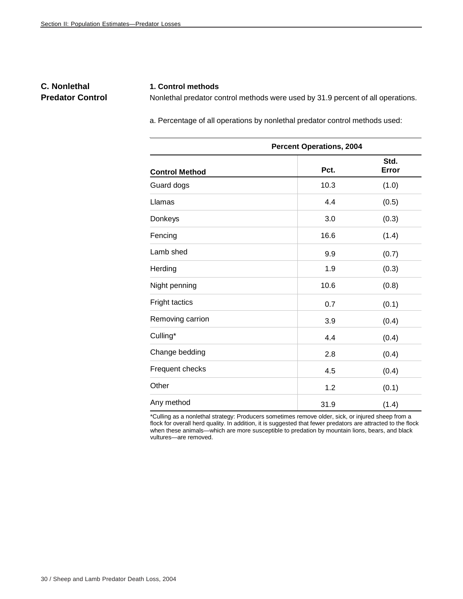# **C. Nonlethal Predator Control**

#### **1. Control methods**

Nonlethal predator control methods were used by 31.9 percent of all operations.

a. Percentage of all operations by nonlethal predator control methods used:

| <b>Percent Operations, 2004</b> |      |               |  |  |  |  |  |
|---------------------------------|------|---------------|--|--|--|--|--|
| <b>Control Method</b>           | Pct. | Std.<br>Error |  |  |  |  |  |
| Guard dogs                      | 10.3 | (1.0)         |  |  |  |  |  |
| Llamas                          | 4.4  | (0.5)         |  |  |  |  |  |
| Donkeys                         | 3.0  | (0.3)         |  |  |  |  |  |
| Fencing                         | 16.6 | (1.4)         |  |  |  |  |  |
| Lamb shed                       | 9.9  | (0.7)         |  |  |  |  |  |
| Herding                         | 1.9  | (0.3)         |  |  |  |  |  |
| Night penning                   | 10.6 | (0.8)         |  |  |  |  |  |
| Fright tactics                  | 0.7  | (0.1)         |  |  |  |  |  |
| Removing carrion                | 3.9  | (0.4)         |  |  |  |  |  |
| Culling*                        | 4.4  | (0.4)         |  |  |  |  |  |
| Change bedding                  | 2.8  | (0.4)         |  |  |  |  |  |
| Frequent checks                 | 4.5  | (0.4)         |  |  |  |  |  |
| Other                           | 1.2  | (0.1)         |  |  |  |  |  |
| Any method                      | 31.9 | (1.4)         |  |  |  |  |  |

\*Culling as a nonlethal strategy: Producers sometimes remove older, sick, or injured sheep from a flock for overall herd quality. In addition, it is suggested that fewer predators are attracted to the flock when these animals—which are more susceptible to predation by mountain lions, bears, and black vultures—are removed.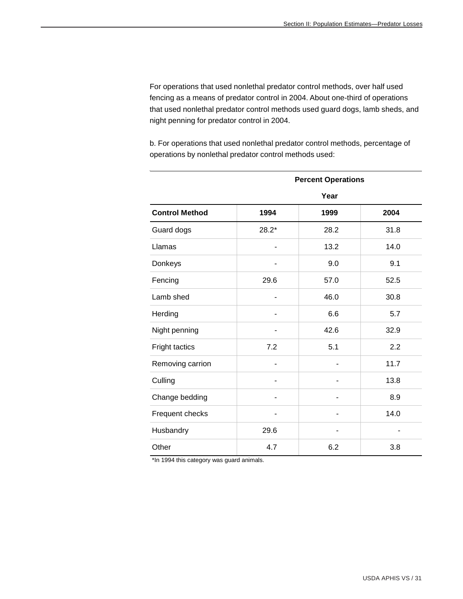For operations that used nonlethal predator control methods, over half used fencing as a means of predator control in 2004. About one-third of operations that used nonlethal predator control methods used guard dogs, lamb sheds, and night penning for predator control in 2004.

b. For operations that used nonlethal predator control methods, percentage of operations by nonlethal predator control methods used:

|                       | <b>Percent Operations</b> |                |      |  |  |  |  |  |  |
|-----------------------|---------------------------|----------------|------|--|--|--|--|--|--|
|                       |                           | Year           |      |  |  |  |  |  |  |
| <b>Control Method</b> | 1994                      | 1999           | 2004 |  |  |  |  |  |  |
| Guard dogs            | $28.2*$                   | 28.2           | 31.8 |  |  |  |  |  |  |
| Llamas                |                           | 13.2           | 14.0 |  |  |  |  |  |  |
| Donkeys               |                           | 9.0            | 9.1  |  |  |  |  |  |  |
| Fencing               | 29.6                      | 57.0           | 52.5 |  |  |  |  |  |  |
| Lamb shed             |                           | 46.0           | 30.8 |  |  |  |  |  |  |
| Herding               |                           | 6.6            | 5.7  |  |  |  |  |  |  |
| Night penning         |                           | 42.6           | 32.9 |  |  |  |  |  |  |
| Fright tactics        | 7.2                       | 5.1            | 2.2  |  |  |  |  |  |  |
| Removing carrion      |                           | $\blacksquare$ | 11.7 |  |  |  |  |  |  |
| Culling               |                           |                | 13.8 |  |  |  |  |  |  |
| Change bedding        |                           |                | 8.9  |  |  |  |  |  |  |
| Frequent checks       |                           |                | 14.0 |  |  |  |  |  |  |
| Husbandry             | 29.6                      |                |      |  |  |  |  |  |  |
| Other                 | 4.7                       | 6.2            | 3.8  |  |  |  |  |  |  |

\*In 1994 this category was guard animals.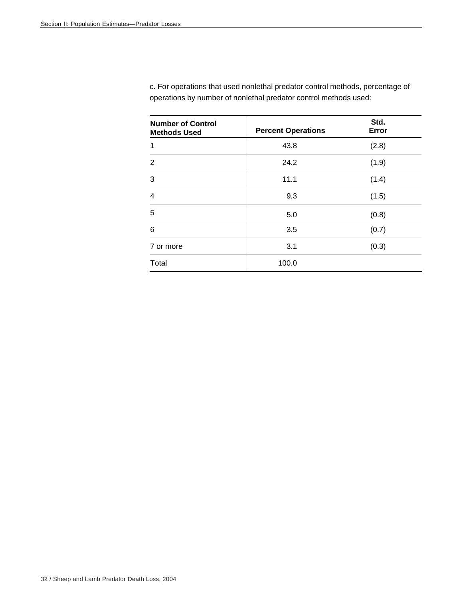| <b>Number of Control</b><br><b>Methods Used</b> | <b>Percent Operations</b> | Std.<br>Error |
|-------------------------------------------------|---------------------------|---------------|
| 1                                               | 43.8                      | (2.8)         |
| $\overline{2}$                                  | 24.2                      | (1.9)         |
| 3                                               | 11.1                      | (1.4)         |
| 4                                               | 9.3                       | (1.5)         |
| 5                                               | 5.0                       | (0.8)         |
| 6                                               | 3.5                       | (0.7)         |
| 7 or more                                       | 3.1                       | (0.3)         |
| Total                                           | 100.0                     |               |

c. For operations that used nonlethal predator control methods, percentage of operations by number of nonlethal predator control methods used: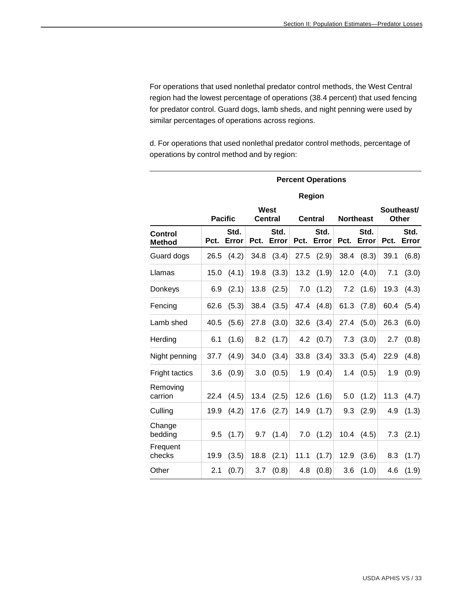For operations that used nonlethal predator control methods, the West Central region had the lowest percentage of operations (38.4 percent) that used fencing for predator control. Guard dogs, lamb sheds, and night penning were used by similar percentages of operations across regions.

d. For operations that used nonlethal predator control methods, percentage of operations by control method and by region:

|                                 |      | <b>Percent Operations</b> |      |                        |      |                |                  |               |                     |               |  |
|---------------------------------|------|---------------------------|------|------------------------|------|----------------|------------------|---------------|---------------------|---------------|--|
|                                 |      |                           |      |                        |      | Region         |                  |               |                     |               |  |
|                                 |      | <b>Pacific</b>            |      | West<br><b>Central</b> |      | <b>Central</b> | <b>Northeast</b> |               | Southeast/<br>Other |               |  |
| <b>Control</b><br><b>Method</b> | Pct. | Std.<br>Error             | Pct. | Std.<br>Error          | Pct. | Std.<br>Error  | Pct.             | Std.<br>Error | Pct.                | Std.<br>Error |  |
| Guard dogs                      | 26.5 | (4.2)                     | 34.8 | (3.4)                  | 27.5 | (2.9)          | 38.4             | (8.3)         | 39.1                | (6.8)         |  |
| Llamas                          | 15.0 | (4.1)                     | 19.8 | (3.3)                  | 13.2 | (1.9)          | 12.0             | (4.0)         | 7.1                 | (3.0)         |  |
| Donkeys                         | 6.9  | (2.1)                     | 13.8 | (2.5)                  | 7.0  | (1.2)          | 7.2              | (1.6)         | 19.3                | (4.3)         |  |
| Fencing                         | 62.6 | (5.3)                     | 38.4 | (3.5)                  | 47.4 | (4.8)          | 61.3             | (7.8)         | 60.4                | (5.4)         |  |
| Lamb shed                       | 40.5 | (5.6)                     | 27.8 | (3.0)                  | 32.6 | (3.4)          | 27.4             | (5.0)         | 26.3                | (6.0)         |  |
| Herding                         | 6.1  | (1.6)                     | 8.2  | (1.7)                  | 4.2  | (0.7)          | 7.3              | (3.0)         | 2.7                 | (0.8)         |  |
| Night penning                   | 37.7 | (4.9)                     | 34.0 | (3.4)                  | 33.8 | (3.4)          | 33.3             | (5.4)         | 22.9                | (4.8)         |  |
| <b>Fright tactics</b>           | 3.6  | (0.9)                     | 3.0  | (0.5)                  | 1.9  | (0.4)          | 1.4              | (0.5)         | 1.9                 | (0.9)         |  |
| Removing<br>carrion             | 22.4 | (4.5)                     | 13.4 | (2.5)                  | 12.6 | (1.6)          | 5.0              | (1.2)         | 11.3                | (4.7)         |  |
| Culling                         | 19.9 | (4.2)                     | 17.6 | (2.7)                  | 14.9 | (1.7)          | 9.3              | (2.9)         | 4.9                 | (1.3)         |  |
| Change<br>bedding               | 9.5  | (1.7)                     | 9.7  | (1.4)                  | 7.0  | (1.2)          | 10.4             | (4.5)         | 7.3                 | (2.1)         |  |
| Frequent<br>checks              | 19.9 | (3.5)                     | 18.8 | (2.1)                  | 11.1 | (1.7)          | 12.9             | (3.6)         | 8.3                 | (1.7)         |  |
| Other                           | 2.1  | (0.7)                     | 3.7  | (0.8)                  | 4.8  | (0.8)          | 3.6              | (1.0)         | 4.6                 | (1.9)         |  |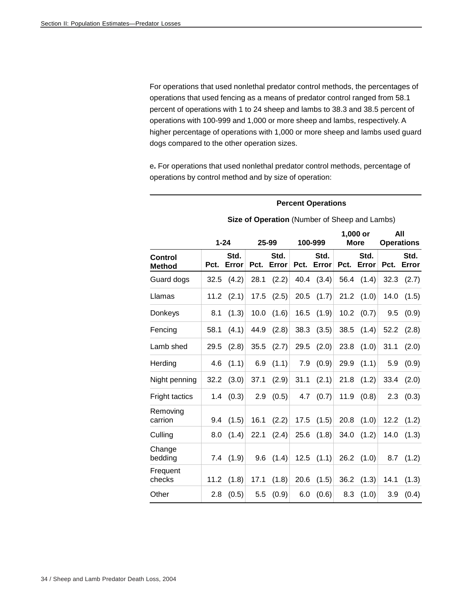For operations that used nonlethal predator control methods, the percentages of operations that used fencing as a means of predator control ranged from 58.1 percent of operations with 1 to 24 sheep and lambs to 38.3 and 38.5 percent of operations with 100-999 and 1,000 or more sheep and lambs, respectively. A higher percentage of operations with 1,000 or more sheep and lambs used guard dogs compared to the other operation sizes.

e**.** For operations that used nonlethal predator control methods, percentage of operations by control method and by size of operation:

#### **Percent Operations**

|                          |      | $1 - 24$      |      | 25-99         |      | 100-999       |      | 1,000 or<br><b>More</b> |      | All<br><b>Operations</b> |
|--------------------------|------|---------------|------|---------------|------|---------------|------|-------------------------|------|--------------------------|
| Control<br><b>Method</b> | Pct. | Std.<br>Error | Pct. | Std.<br>Error | Pct. | Std.<br>Error | Pct. | Std.<br>Error           | Pct. | Std.<br>Error            |
| Guard dogs               | 32.5 | (4.2)         | 28.1 | (2.2)         | 40.4 | (3.4)         | 56.4 | (1.4)                   | 32.3 | (2.7)                    |
| Llamas                   | 11.2 | (2.1)         | 17.5 | (2.5)         | 20.5 | (1.7)         | 21.2 | (1.0)                   | 14.0 | (1.5)                    |
| Donkeys                  | 8.1  | (1.3)         | 10.0 | (1.6)         | 16.5 | (1.9)         | 10.2 | (0.7)                   | 9.5  | (0.9)                    |
| Fencing                  | 58.1 | (4.1)         | 44.9 | (2.8)         | 38.3 | (3.5)         | 38.5 | (1.4)                   | 52.2 | (2.8)                    |
| Lamb shed                | 29.5 | (2.8)         | 35.5 | (2.7)         | 29.5 | (2.0)         | 23.8 | (1.0)                   | 31.1 | (2.0)                    |
| Herding                  | 4.6  | (1.1)         | 6.9  | (1.1)         | 7.9  | (0.9)         | 29.9 | (1.1)                   | 5.9  | (0.9)                    |
| Night penning            | 32.2 | (3.0)         | 37.1 | (2.9)         | 31.1 | (2.1)         | 21.8 | (1.2)                   | 33.4 | (2.0)                    |
| Fright tactics           | 1.4  | (0.3)         | 2.9  | (0.5)         | 4.7  | (0.7)         | 11.9 | (0.8)                   | 2.3  | (0.3)                    |
| Removing<br>carrion      | 9.4  | (1.5)         | 16.1 | (2.2)         | 17.5 | (1.5)         | 20.8 | (1.0)                   | 12.2 | (1.2)                    |
| Culling                  | 8.0  | (1.4)         | 22.1 | (2.4)         | 25.6 | (1.8)         | 34.0 | (1.2)                   | 14.0 | (1.3)                    |
| Change<br>bedding        | 7.4  | (1.9)         | 9.6  | (1.4)         | 12.5 | (1.1)         | 26.2 | (1.0)                   | 8.7  | (1.2)                    |
| Frequent<br>checks       | 11.2 | (1.8)         | 17.1 | (1.8)         | 20.6 | (1.5)         | 36.2 | (1.3)                   | 14.1 | (1.3)                    |
| Other                    | 2.8  | (0.5)         | 5.5  | (0.9)         | 6.0  | (0.6)         | 8.3  | (1.0)                   | 3.9  | (0.4)                    |

**Size of Operation** (Number of Sheep and Lambs)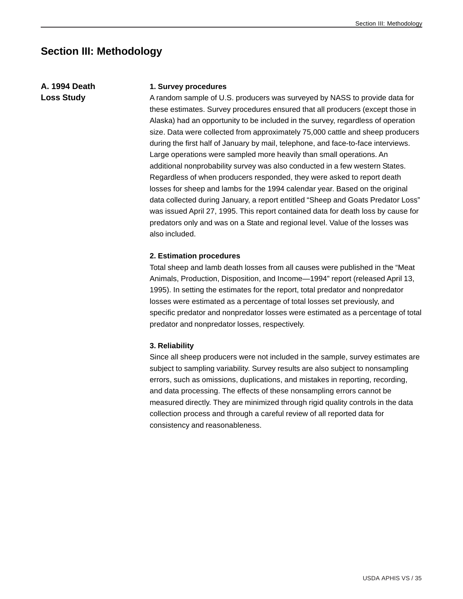# **Section III: Methodology**

**A. 1994 Death Loss Study**

#### **1. Survey procedures**

A random sample of U.S. producers was surveyed by NASS to provide data for these estimates. Survey procedures ensured that all producers (except those in Alaska) had an opportunity to be included in the survey, regardless of operation size. Data were collected from approximately 75,000 cattle and sheep producers during the first half of January by mail, telephone, and face-to-face interviews. Large operations were sampled more heavily than small operations. An additional nonprobability survey was also conducted in a few western States. Regardless of when producers responded, they were asked to report death losses for sheep and lambs for the 1994 calendar year. Based on the original data collected during January, a report entitled "Sheep and Goats Predator Loss" was issued April 27, 1995. This report contained data for death loss by cause for predators only and was on a State and regional level. Value of the losses was also included.

#### **2. Estimation procedures**

Total sheep and lamb death losses from all causes were published in the "Meat Animals, Production, Disposition, and Income—1994" report (released April 13, 1995). In setting the estimates for the report, total predator and nonpredator losses were estimated as a percentage of total losses set previously, and specific predator and nonpredator losses were estimated as a percentage of total predator and nonpredator losses, respectively.

#### **3. Reliability**

Since all sheep producers were not included in the sample, survey estimates are subject to sampling variability. Survey results are also subject to nonsampling errors, such as omissions, duplications, and mistakes in reporting, recording, and data processing. The effects of these nonsampling errors cannot be measured directly. They are minimized through rigid quality controls in the data collection process and through a careful review of all reported data for consistency and reasonableness.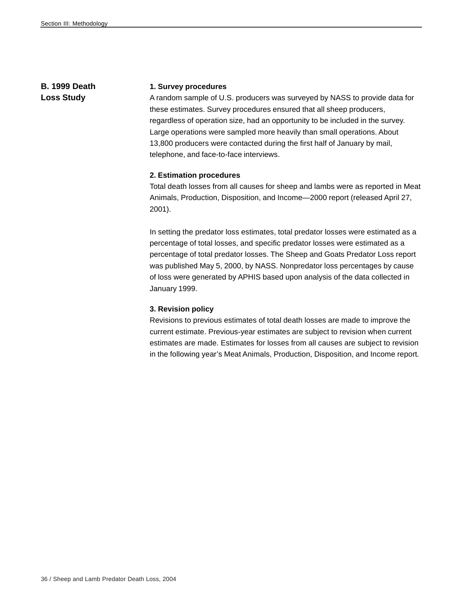# **B. 1999 Death Loss Study**

#### **1. Survey procedures**

A random sample of U.S. producers was surveyed by NASS to provide data for these estimates. Survey procedures ensured that all sheep producers, regardless of operation size, had an opportunity to be included in the survey. Large operations were sampled more heavily than small operations. About 13,800 producers were contacted during the first half of January by mail, telephone, and face-to-face interviews.

#### **2. Estimation procedures**

Total death losses from all causes for sheep and lambs were as reported in Meat Animals, Production, Disposition, and Income—2000 report (released April 27, 2001).

In setting the predator loss estimates, total predator losses were estimated as a percentage of total losses, and specific predator losses were estimated as a percentage of total predator losses. The Sheep and Goats Predator Loss report was published May 5, 2000, by NASS. Nonpredator loss percentages by cause of loss were generated by APHIS based upon analysis of the data collected in January 1999.

#### **3. Revision policy**

Revisions to previous estimates of total death losses are made to improve the current estimate. Previous-year estimates are subject to revision when current estimates are made. Estimates for losses from all causes are subject to revision in the following year's Meat Animals, Production, Disposition, and Income report*.*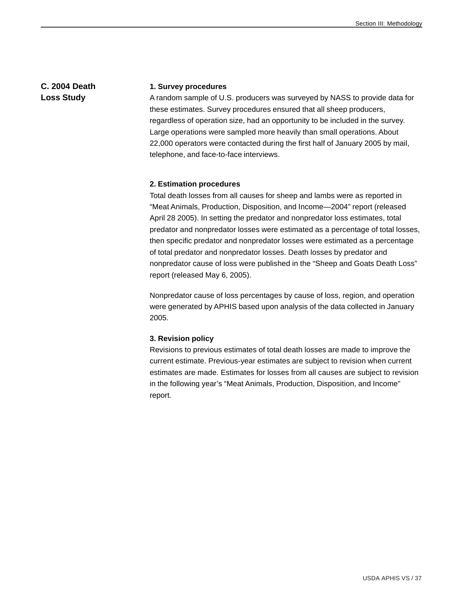### **C. 2004 Death Loss Study**

#### **1. Survey procedures**

A random sample of U.S. producers was surveyed by NASS to provide data for these estimates. Survey procedures ensured that all sheep producers, regardless of operation size, had an opportunity to be included in the survey. Large operations were sampled more heavily than small operations. About 22,000 operators were contacted during the first half of January 2005 by mail, telephone, and face-to-face interviews.

#### **2. Estimation procedures**

Total death losses from all causes for sheep and lambs were as reported in "Meat Animals, Production, Disposition, and Income—2004" report (released April 28 2005). In setting the predator and nonpredator loss estimates, total predator and nonpredator losses were estimated as a percentage of total losses, then specific predator and nonpredator losses were estimated as a percentage of total predator and nonpredator losses. Death losses by predator and nonpredator cause of loss were published in the "Sheep and Goats Death Loss" report (released May 6, 2005).

Nonpredator cause of loss percentages by cause of loss, region, and operation were generated by APHIS based upon analysis of the data collected in January 2005.

#### **3. Revision policy**

Revisions to previous estimates of total death losses are made to improve the current estimate. Previous-year estimates are subject to revision when current estimates are made. Estimates for losses from all causes are subject to revision in the following year's "Meat Animals, Production, Disposition, and Income" report*.*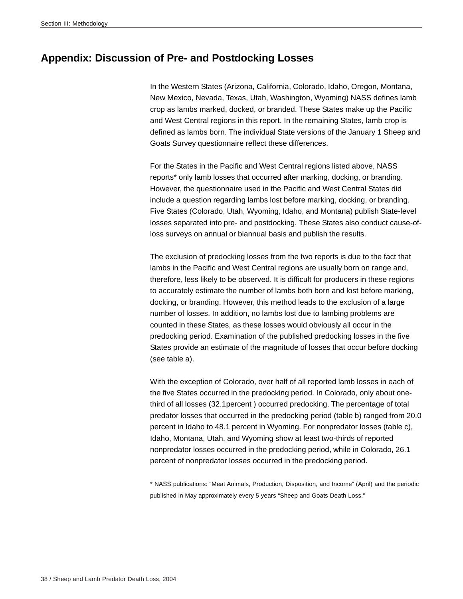# **Appendix: Discussion of Pre- and Postdocking Losses**

In the Western States (Arizona, California, Colorado, Idaho, Oregon, Montana, New Mexico, Nevada, Texas, Utah, Washington, Wyoming) NASS defines lamb crop as lambs marked, docked, or branded. These States make up the Pacific and West Central regions in this report. In the remaining States, lamb crop is defined as lambs born. The individual State versions of the January 1 Sheep and Goats Survey questionnaire reflect these differences.

For the States in the Pacific and West Central regions listed above, NASS reports\* only lamb losses that occurred after marking, docking, or branding. However, the questionnaire used in the Pacific and West Central States did include a question regarding lambs lost before marking, docking, or branding. Five States (Colorado, Utah, Wyoming, Idaho, and Montana) publish State-level losses separated into pre- and postdocking. These States also conduct cause-ofloss surveys on annual or biannual basis and publish the results.

The exclusion of predocking losses from the two reports is due to the fact that lambs in the Pacific and West Central regions are usually born on range and, therefore, less likely to be observed. It is difficult for producers in these regions to accurately estimate the number of lambs both born and lost before marking, docking, or branding. However, this method leads to the exclusion of a large number of losses. In addition, no lambs lost due to lambing problems are counted in these States, as these losses would obviously all occur in the predocking period. Examination of the published predocking losses in the five States provide an estimate of the magnitude of losses that occur before docking (see table a).

With the exception of Colorado, over half of all reported lamb losses in each of the five States occurred in the predocking period. In Colorado, only about onethird of all losses (32.1percent ) occurred predocking. The percentage of total predator losses that occurred in the predocking period (table b) ranged from 20.0 percent in Idaho to 48.1 percent in Wyoming. For nonpredator losses (table c), Idaho, Montana, Utah, and Wyoming show at least two-thirds of reported nonpredator losses occurred in the predocking period, while in Colorado, 26.1 percent of nonpredator losses occurred in the predocking period.

\* NASS publications: "Meat Animals, Production, Disposition, and Income" (April) and the periodic published in May approximately every 5 years "Sheep and Goats Death Loss."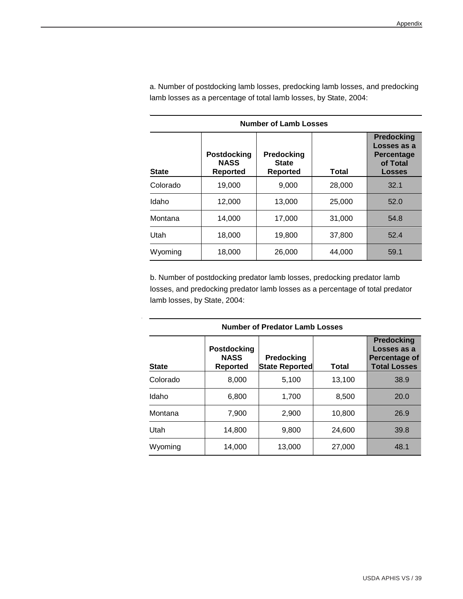| <b>Number of Lamb Losses</b> |                                                      |                                        |        |                                                                                    |  |  |  |  |  |  |  |
|------------------------------|------------------------------------------------------|----------------------------------------|--------|------------------------------------------------------------------------------------|--|--|--|--|--|--|--|
| <b>State</b>                 | <b>Postdocking</b><br><b>NASS</b><br><b>Reported</b> | Predocking<br><b>State</b><br>Reported | Total  | <b>Predocking</b><br>Losses as a<br><b>Percentage</b><br>of Total<br><b>Losses</b> |  |  |  |  |  |  |  |
| Colorado                     | 19,000                                               | 9,000                                  | 28,000 | 32.1                                                                               |  |  |  |  |  |  |  |
| Idaho                        | 12,000                                               | 13.000                                 | 25,000 | 52.0                                                                               |  |  |  |  |  |  |  |
| Montana                      | 14,000                                               | 17,000                                 | 31,000 | 54.8                                                                               |  |  |  |  |  |  |  |
| Utah                         | 18,000                                               | 19,800                                 | 37,800 | 52.4                                                                               |  |  |  |  |  |  |  |
| Wyoming                      | 18,000                                               | 26,000                                 | 44.000 | 59.1                                                                               |  |  |  |  |  |  |  |

a. Number of postdocking lamb losses, predocking lamb losses, and predocking lamb losses as a percentage of total lamb losses, by State, 2004:

b. Number of postdocking predator lamb losses, predocking predator lamb losses, and predocking predator lamb losses as a percentage of total predator lamb losses, by State, 2004:

| <b>Number of Predator Lamb Losses</b> |                                               |                                     |        |                                                                          |  |  |
|---------------------------------------|-----------------------------------------------|-------------------------------------|--------|--------------------------------------------------------------------------|--|--|
| <b>State</b>                          | <b>Postdocking</b><br><b>NASS</b><br>Reported | Predocking<br><b>State Reported</b> | Total  | <b>Predocking</b><br>Losses as a<br>Percentage of<br><b>Total Losses</b> |  |  |
| Colorado                              | 8,000                                         | 5,100                               | 13,100 | 38.9                                                                     |  |  |
| Idaho                                 | 6,800                                         | 1,700                               | 8,500  | 20.0                                                                     |  |  |
| Montana                               | 7,900                                         | 2,900                               | 10,800 | 26.9                                                                     |  |  |
| Utah                                  | 14,800                                        | 9,800                               | 24.600 | 39.8                                                                     |  |  |
| Wyoming                               | 14,000                                        | 13,000                              | 27,000 | 48.1                                                                     |  |  |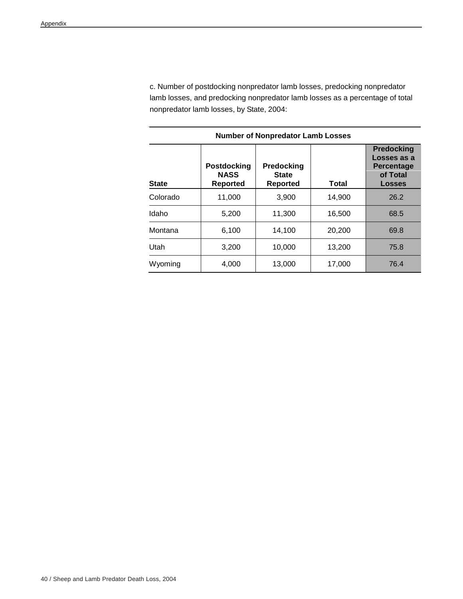c. Number of postdocking nonpredator lamb losses, predocking nonpredator lamb losses, and predocking nonpredator lamb losses as a percentage of total nonpredator lamb losses, by State, 2004:

| <b>Number of Nonpredator Lamb Losses</b> |                                               |                                        |        |                                                                      |  |  |
|------------------------------------------|-----------------------------------------------|----------------------------------------|--------|----------------------------------------------------------------------|--|--|
| State                                    | <b>Postdocking</b><br><b>NASS</b><br>Reported | Predocking<br><b>State</b><br>Reported | Total  | <b>Predocking</b><br>Losses as a<br>Percentage<br>of Total<br>Losses |  |  |
| Colorado                                 | 11,000                                        | 3,900                                  | 14,900 | 26.2                                                                 |  |  |
| Idaho                                    | 5,200                                         | 11,300                                 | 16,500 | 68.5                                                                 |  |  |
| Montana                                  | 6,100                                         | 14.100                                 | 20,200 | 69.8                                                                 |  |  |
| Utah                                     | 3,200                                         | 10,000                                 | 13,200 | 75.8                                                                 |  |  |
| Wyoming                                  | 4,000                                         | 13,000                                 | 17,000 | 76.4                                                                 |  |  |